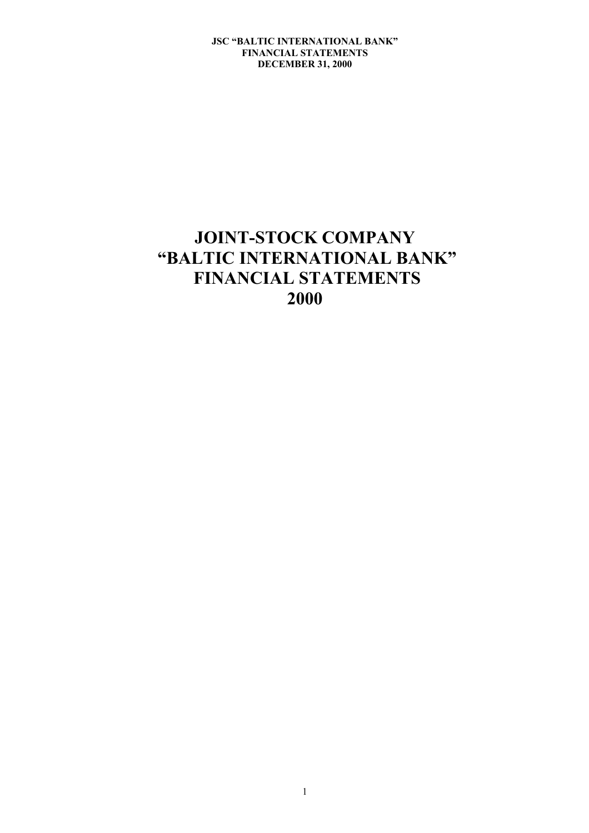# **JOINT-STOCK COMPANY "BALTIC INTERNATIONAL BANK" FINANCIAL STATEMENTS 2000**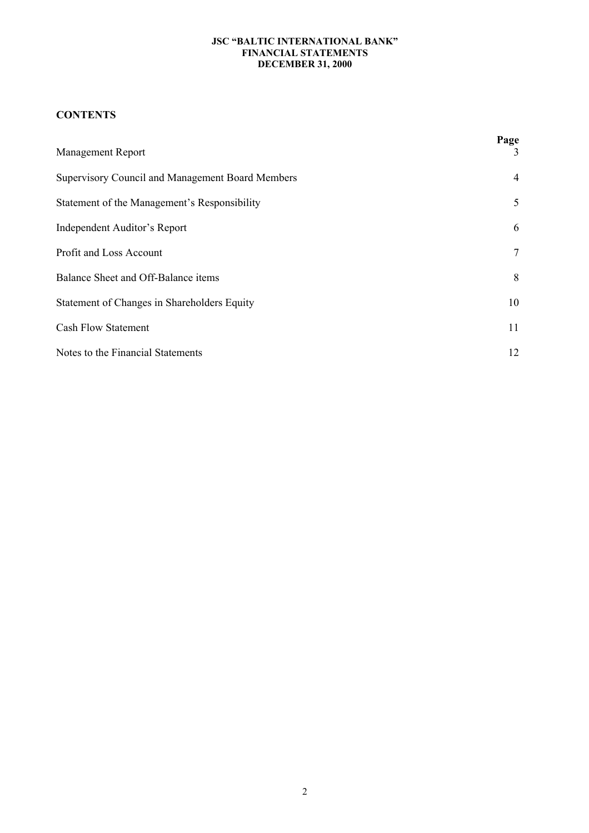# **CONTENTS**

| <b>Management Report</b>                         | Page<br>3      |
|--------------------------------------------------|----------------|
| Supervisory Council and Management Board Members | $\overline{4}$ |
| Statement of the Management's Responsibility     | 5              |
| Independent Auditor's Report                     | 6              |
| Profit and Loss Account                          | 7              |
| Balance Sheet and Off-Balance items              | 8              |
| Statement of Changes in Shareholders Equity      | 10             |
| <b>Cash Flow Statement</b>                       | 11             |
| Notes to the Financial Statements                | 12             |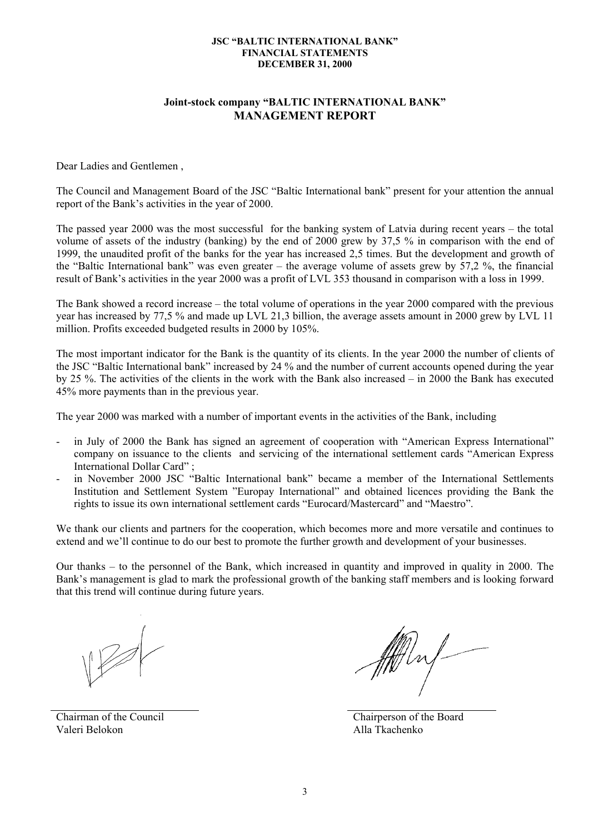# **Joint-stock company "BALTIC INTERNATIONAL BANK" MANAGEMENT REPORT**

Dear Ladies and Gentlemen ,

The Council and Management Board of the JSC "Baltic International bank" present for your attention the annual report of the Bank's activities in the year of 2000.

The passed year 2000 was the most successful for the banking system of Latvia during recent years – the total volume of assets of the industry (banking) by the end of 2000 grew by 37,5 % in comparison with the end of 1999, the unaudited profit of the banks for the year has increased 2,5 times. But the development and growth of the "Baltic International bank" was even greater – the average volume of assets grew by 57,2 %, the financial result of Bank's activities in the year 2000 was a profit of LVL 353 thousand in comparison with a loss in 1999.

The Bank showed a record increase – the total volume of operations in the year 2000 compared with the previous year has increased by 77,5 % and made up LVL 21,3 billion, the average assets amount in 2000 grew by LVL 11 million. Profits exceeded budgeted results in 2000 by 105%.

The most important indicator for the Bank is the quantity of its clients. In the year 2000 the number of clients of the JSC "Baltic International bank" increased by 24 % and the number of current accounts opened during the year by 25 %. The activities of the clients in the work with the Bank also increased – in 2000 the Bank has executed 45% more payments than in the previous year.

The year 2000 was marked with a number of important events in the activities of the Bank, including

- in July of 2000 the Bank has signed an agreement of cooperation with "American Express International" company on issuance to the clients and servicing of the international settlement cards "American Express International Dollar Card" ;
- in November 2000 JSC "Baltic International bank" became a member of the International Settlements Institution and Settlement System "Europay International" and obtained licences providing the Bank the rights to issue its own international settlement cards "Eurocard/Mastercard" and "Maestro".

We thank our clients and partners for the cooperation, which becomes more and more versatile and continues to extend and we'll continue to do our best to promote the further growth and development of your businesses.

Our thanks – to the personnel of the Bank, which increased in quantity and improved in quality in 2000. The Bank's management is glad to mark the professional growth of the banking staff members and is looking forward that this trend will continue during future years.

Chairman of the Council Valeri Belokon

ffft buf-

 Chairperson of the Board Alla Tkachenko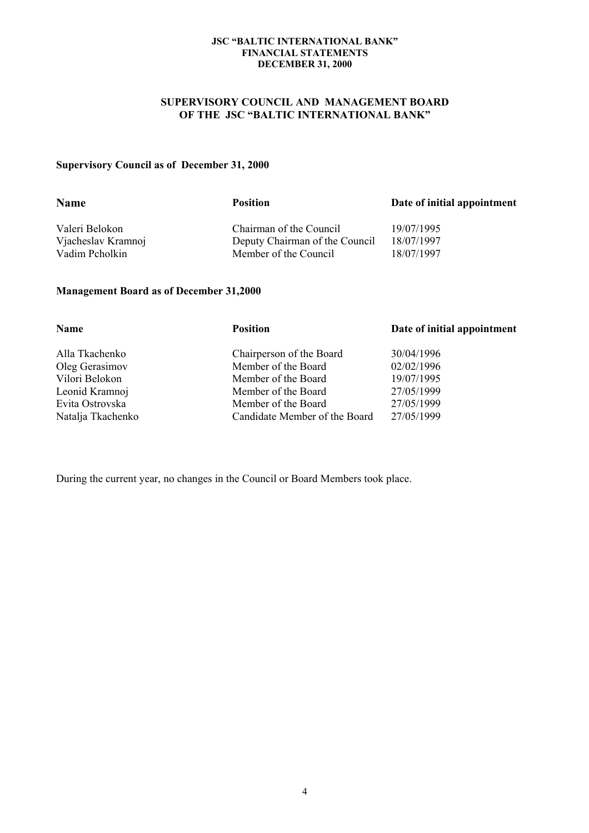# **SUPERVISORY COUNCIL AND MANAGEMENT BOARD OF THE JSC "BALTIC INTERNATIONAL BANK"**

# **Supervisory Council as of December 31, 2000**

| <b>Name</b>        | <b>Position</b>                | Date of initial appointment |
|--------------------|--------------------------------|-----------------------------|
| Valeri Belokon     | Chairman of the Council        | 19/07/1995                  |
| Vjacheslav Kramnoj | Deputy Chairman of the Council | 18/07/1997                  |
| Vadim Pcholkin     | Member of the Council          | 18/07/1997                  |
|                    |                                |                             |

# **Management Board as of December 31,2000**

| <b>Position</b>               | Date of initial appointment |
|-------------------------------|-----------------------------|
| Chairperson of the Board      | 30/04/1996                  |
| Member of the Board           | 02/02/1996                  |
| Member of the Board           | 19/07/1995                  |
| Member of the Board           | 27/05/1999                  |
| Member of the Board           | 27/05/1999                  |
| Candidate Member of the Board | 27/05/1999                  |
|                               |                             |

During the current year, no changes in the Council or Board Members took place.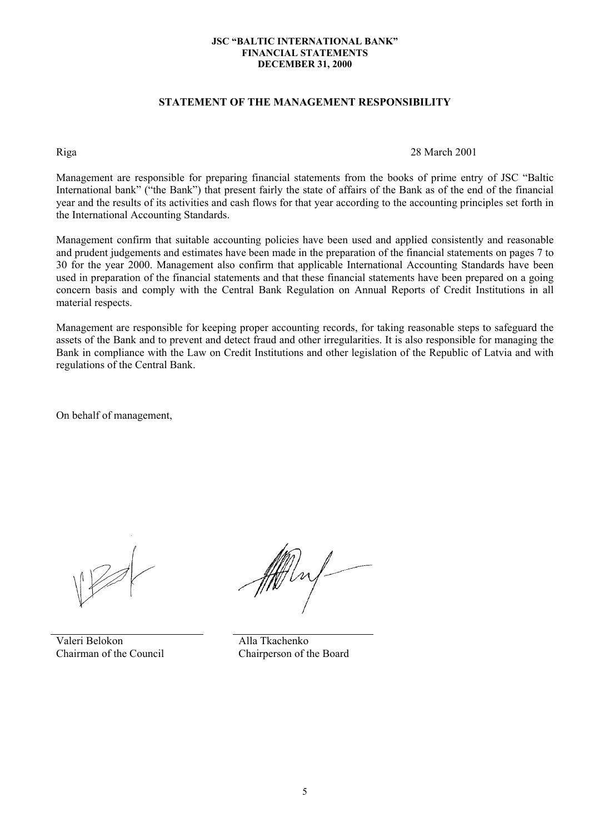# **STATEMENT OF THE MANAGEMENT RESPONSIBILITY**

Riga 28 March 2001

Management are responsible for preparing financial statements from the books of prime entry of JSC "Baltic International bank" ("the Bank") that present fairly the state of affairs of the Bank as of the end of the financial year and the results of its activities and cash flows for that year according to the accounting principles set forth in the International Accounting Standards.

Management confirm that suitable accounting policies have been used and applied consistently and reasonable and prudent judgements and estimates have been made in the preparation of the financial statements on pages 7 to 30 for the year 2000. Management also confirm that applicable International Accounting Standards have been used in preparation of the financial statements and that these financial statements have been prepared on a going concern basis and comply with the Central Bank Regulation on Annual Reports of Credit Institutions in all material respects.

Management are responsible for keeping proper accounting records, for taking reasonable steps to safeguard the assets of the Bank and to prevent and detect fraud and other irregularities. It is also responsible for managing the Bank in compliance with the Law on Credit Institutions and other legislation of the Republic of Latvia and with regulations of the Central Bank.

On behalf of management,

Valeri Belokon Chairman of the Council

Alla Tkachenko Chairperson of the Board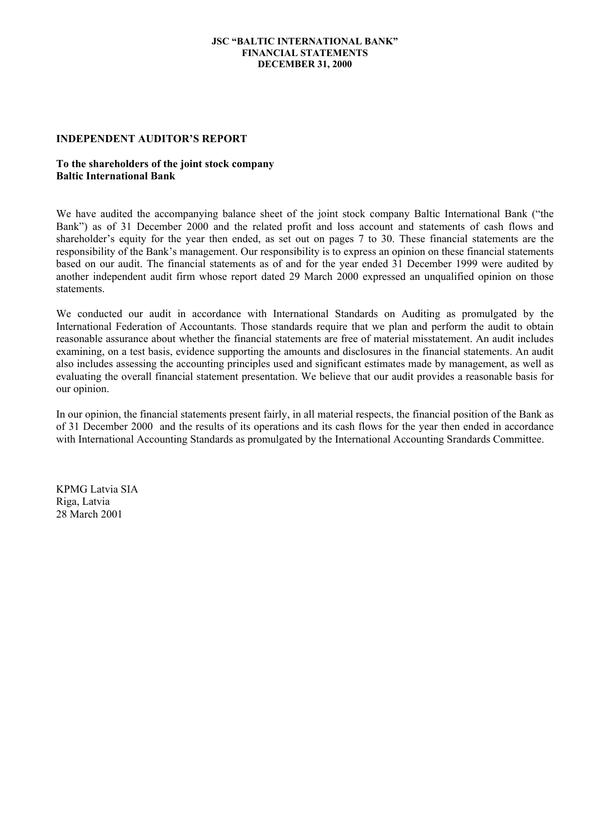#### **INDEPENDENT AUDITOR'S REPORT**

# **To the shareholders of the joint stock company Baltic International Bank**

We have audited the accompanying balance sheet of the joint stock company Baltic International Bank ("the Bank") as of 31 December 2000 and the related profit and loss account and statements of cash flows and shareholder's equity for the year then ended, as set out on pages 7 to 30. These financial statements are the responsibility of the Bank's management. Our responsibility is to express an opinion on these financial statements based on our audit. The financial statements as of and for the year ended 31 December 1999 were audited by another independent audit firm whose report dated 29 March 2000 expressed an unqualified opinion on those statements.

We conducted our audit in accordance with International Standards on Auditing as promulgated by the International Federation of Accountants. Those standards require that we plan and perform the audit to obtain reasonable assurance about whether the financial statements are free of material misstatement. An audit includes examining, on a test basis, evidence supporting the amounts and disclosures in the financial statements. An audit also includes assessing the accounting principles used and significant estimates made by management, as well as evaluating the overall financial statement presentation. We believe that our audit provides a reasonable basis for our opinion.

In our opinion, the financial statements present fairly, in all material respects, the financial position of the Bank as of 31 December 2000 and the results of its operations and its cash flows for the year then ended in accordance with International Accounting Standards as promulgated by the International Accounting Srandards Committee.

KPMG Latvia SIA Riga, Latvia 28 March 2001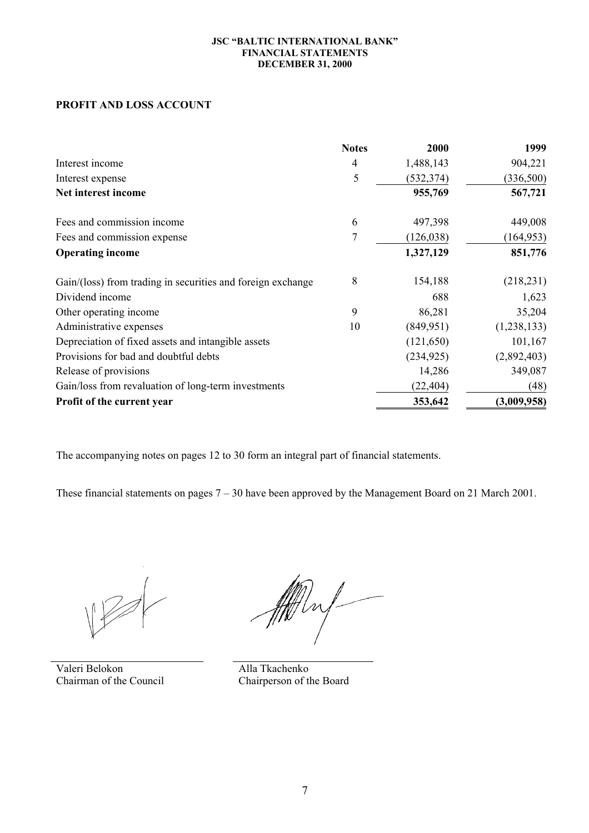# **PROFIT AND LOSS ACCOUNT**

|                                                             | <b>Notes</b> | 2000       | 1999          |
|-------------------------------------------------------------|--------------|------------|---------------|
| Interest income                                             | 4            | 1,488,143  | 904,221       |
| Interest expense                                            | 5            | (532, 374) | (336,500)     |
| Net interest income                                         |              | 955,769    | 567,721       |
| Fees and commission income                                  | 6            | 497,398    | 449,008       |
| Fees and commission expense                                 | 7            | (126, 038) | (164, 953)    |
| <b>Operating income</b>                                     |              | 1,327,129  | 851,776       |
| Gain/(loss) from trading in securities and foreign exchange | 8            | 154,188    | (218, 231)    |
| Dividend income                                             |              | 688        | 1,623         |
| Other operating income                                      | 9            | 86,281     | 35,204        |
| Administrative expenses                                     | 10           | (849, 951) | (1, 238, 133) |
| Depreciation of fixed assets and intangible assets          |              | (121, 650) | 101,167       |
| Provisions for bad and doubtful debts                       |              | (234, 925) | (2,892,403)   |
| Release of provisions                                       |              | 14,286     | 349,087       |
| Gain/loss from revaluation of long-term investments         |              | (22, 404)  | (48)          |
| Profit of the current year                                  |              | 353,642    | (3,009,958)   |

The accompanying notes on pages 12 to 30 form an integral part of financial statements.

These financial statements on pages 7 – 30 have been approved by the Management Board on 21 March 2001.

Valeri Belokon Chairman of the Council

ffeling

Alla Tkachenko Chairperson of the Board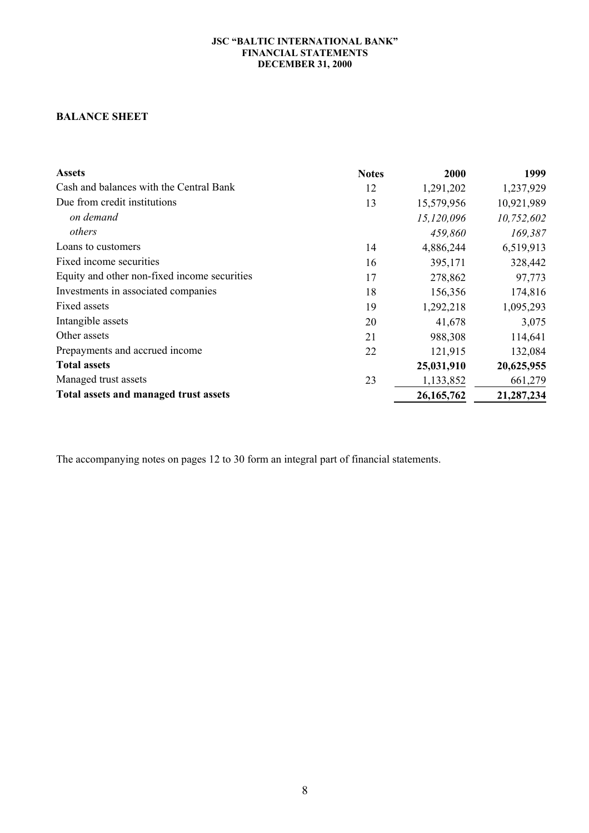# **BALANCE SHEET**

| <b>Assets</b>                                | <b>Notes</b> | 2000         | 1999       |
|----------------------------------------------|--------------|--------------|------------|
| Cash and balances with the Central Bank      | 12           | 1,291,202    | 1,237,929  |
| Due from credit institutions                 | 13           | 15,579,956   | 10,921,989 |
| on demand                                    |              | 15,120,096   | 10,752,602 |
| others                                       |              | 459,860      | 169,387    |
| Loans to customers                           | 14           | 4,886,244    | 6,519,913  |
| Fixed income securities                      | 16           | 395,171      | 328,442    |
| Equity and other non-fixed income securities | 17           | 278,862      | 97,773     |
| Investments in associated companies          | 18           | 156,356      | 174,816    |
| Fixed assets                                 | 19           | 1,292,218    | 1,095,293  |
| Intangible assets                            | 20           | 41,678       | 3,075      |
| Other assets                                 | 21           | 988,308      | 114,641    |
| Prepayments and accrued income               | 22           | 121,915      | 132,084    |
| <b>Total assets</b>                          |              | 25,031,910   | 20,625,955 |
| Managed trust assets                         | 23           | 1,133,852    | 661,279    |
| Total assets and managed trust assets        |              | 26, 165, 762 | 21,287,234 |

The accompanying notes on pages 12 to 30 form an integral part of financial statements.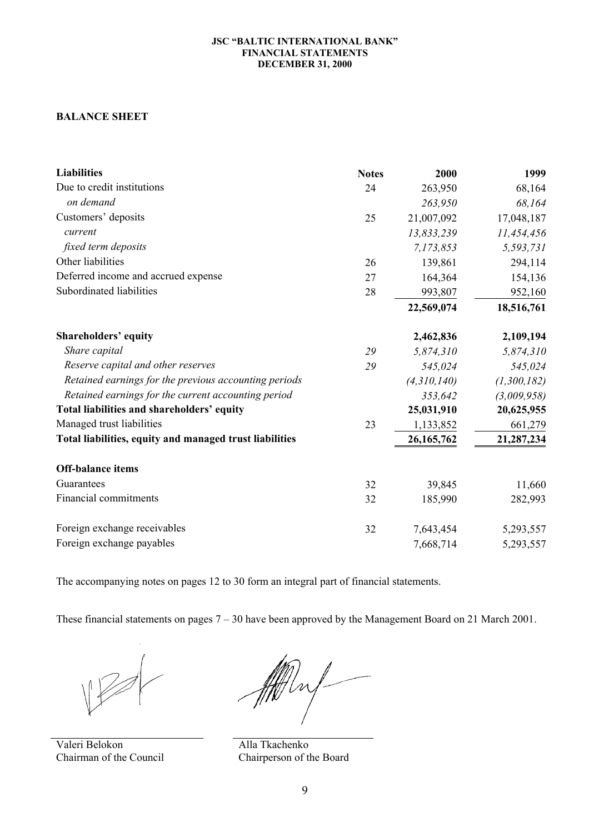# **BALANCE SHEET**

| <b>Liabilities</b>                                      | <b>Notes</b> | 2000         | 1999        |
|---------------------------------------------------------|--------------|--------------|-------------|
| Due to credit institutions                              | 24           | 263,950      | 68,164      |
| on demand                                               |              | 263,950      | 68,164      |
| Customers' deposits                                     | 25           | 21,007,092   | 17,048,187  |
| current                                                 |              | 13,833,239   | 11,454,456  |
| fixed term deposits                                     |              | 7,173,853    | 5,593,731   |
| Other liabilities                                       | 26           | 139,861      | 294,114     |
| Deferred income and accrued expense                     | 27           | 164,364      | 154,136     |
| Subordinated liabilities                                | 28           | 993,807      | 952,160     |
|                                                         |              | 22,569,074   | 18,516,761  |
| <b>Shareholders' equity</b>                             |              | 2,462,836    | 2,109,194   |
| Share capital                                           | 29           | 5,874,310    | 5,874,310   |
| Reserve capital and other reserves                      | 29           | 545,024      | 545,024     |
| Retained earnings for the previous accounting periods   |              | (4,310,140)  | (1,300,182) |
| Retained earnings for the current accounting period     |              | 353,642      | (3,009,958) |
| Total liabilities and shareholders' equity              |              | 25,031,910   | 20,625,955  |
| Managed trust liabilities                               | 23           | 1,133,852    | 661,279     |
| Total liabilities, equity and managed trust liabilities |              | 26, 165, 762 | 21,287,234  |
| <b>Off-balance items</b>                                |              |              |             |
| Guarantees                                              | 32           | 39,845       | 11,660      |
| <b>Financial commitments</b>                            | 32           | 185,990      | 282,993     |
| Foreign exchange receivables                            | 32           | 7,643,454    | 5,293,557   |
| Foreign exchange payables                               |              | 7,668,714    | 5,293,557   |

The accompanying notes on pages 12 to 30 form an integral part of financial statements.

These financial statements on pages 7 – 30 have been approved by the Management Board on 21 March 2001.

Valeri Belokon Chairman of the Council

1/m

Alla Tkachenko Chairperson of the Board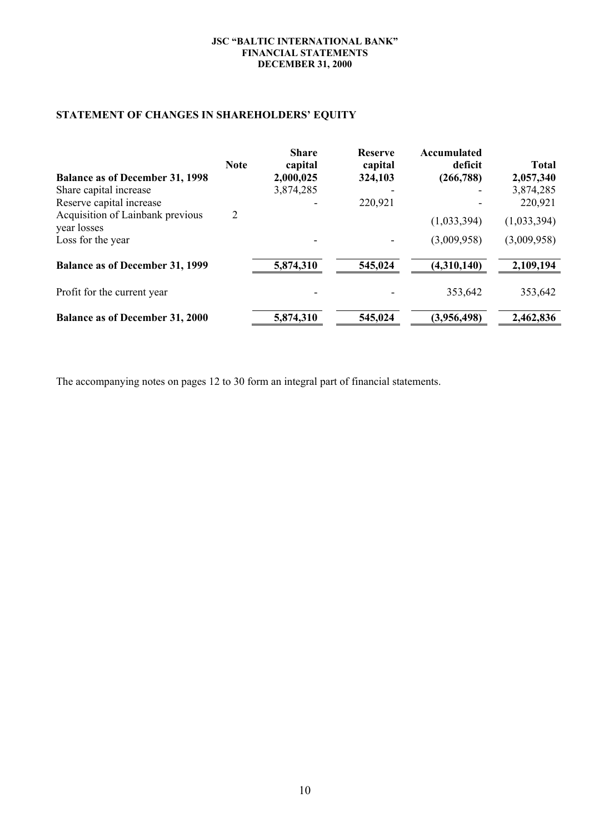# **STATEMENT OF CHANGES IN SHAREHOLDERS' EQUITY**

|                                                 | <b>Note</b> | <b>Share</b><br>capital | <b>Reserve</b><br>capital | Accumulated<br>deficit | <b>Total</b> |
|-------------------------------------------------|-------------|-------------------------|---------------------------|------------------------|--------------|
| <b>Balance as of December 31, 1998</b>          |             | 2,000,025               | 324,103                   | (266, 788)             | 2,057,340    |
| Share capital increase                          |             | 3,874,285               |                           |                        | 3,874,285    |
| Reserve capital increase                        |             |                         | 220,921                   |                        | 220,921      |
| Acquisition of Lainbank previous<br>year losses | 2           |                         |                           | (1,033,394)            | (1,033,394)  |
| Loss for the year                               |             |                         |                           | (3,009,958)            | (3,009,958)  |
| <b>Balance as of December 31, 1999</b>          |             | 5,874,310               | 545,024                   | (4,310,140)            | 2,109,194    |
| Profit for the current year                     |             |                         |                           | 353,642                | 353,642      |
| <b>Balance as of December 31, 2000</b>          |             | 5,874,310               | 545,024                   | (3,956,498)            | 2,462,836    |

The accompanying notes on pages 12 to 30 form an integral part of financial statements.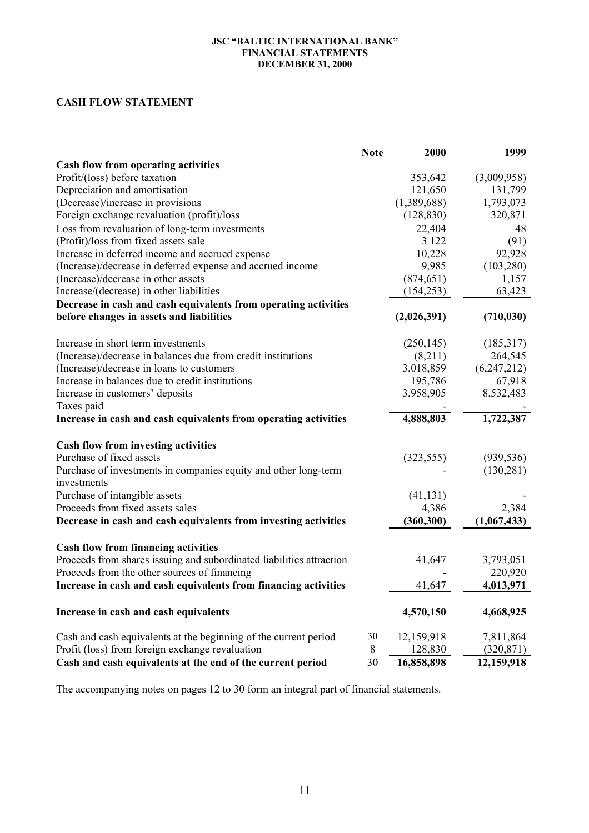# **CASH FLOW STATEMENT**

|                                                                      | <b>Note</b> | 2000        | 1999          |
|----------------------------------------------------------------------|-------------|-------------|---------------|
| <b>Cash flow from operating activities</b>                           |             |             |               |
| Profit/(loss) before taxation                                        |             | 353,642     | (3,009,958)   |
| Depreciation and amortisation                                        |             | 121,650     | 131,799       |
| (Decrease)/increase in provisions                                    |             | (1,389,688) | 1,793,073     |
| Foreign exchange revaluation (profit)/loss                           |             | (128, 830)  | 320,871       |
| Loss from revaluation of long-term investments                       |             | 22,404      | 48            |
| (Profit)/loss from fixed assets sale                                 |             | 3 1 2 2     | (91)          |
| Increase in deferred income and accrued expense                      |             | 10,228      | 92,928        |
| (Increase)/decrease in deferred expense and accrued income           |             | 9,985       | (103, 280)    |
| (Increase)/decrease in other assets                                  |             | (874, 651)  | 1,157         |
| Increase/(decrease) in other liabilities                             |             | (154, 253)  | 63,423        |
| Decrease in cash and cash equivalents from operating activities      |             |             |               |
| before changes in assets and liabilities                             |             | (2,026,391) | (710, 030)    |
|                                                                      |             |             |               |
| Increase in short term investments                                   |             | (250, 145)  | (185,317)     |
| (Increase)/decrease in balances due from credit institutions         |             | (8,211)     | 264,545       |
| (Increase)/decrease in loans to customers                            |             | 3,018,859   | (6, 247, 212) |
| Increase in balances due to credit institutions                      |             | 195,786     | 67,918        |
| Increase in customers' deposits                                      |             | 3,958,905   | 8,532,483     |
| Taxes paid                                                           |             |             |               |
| Increase in cash and cash equivalents from operating activities      |             | 4,888,803   | 1,722,387     |
| <b>Cash flow from investing activities</b>                           |             |             |               |
| Purchase of fixed assets                                             |             | (323, 555)  | (939, 536)    |
| Purchase of investments in companies equity and other long-term      |             |             | (130, 281)    |
| investments                                                          |             |             |               |
| Purchase of intangible assets                                        |             | (41, 131)   |               |
| Proceeds from fixed assets sales                                     |             | 4,386       | 2,384         |
| Decrease in cash and cash equivalents from investing activities      |             | (360, 300)  | (1,067,433)   |
|                                                                      |             |             |               |
| <b>Cash flow from financing activities</b>                           |             |             |               |
| Proceeds from shares issuing and subordinated liabilities attraction |             | 41,647      | 3,793,051     |
| Proceeds from the other sources of financing                         |             |             | 220,920       |
| Increase in cash and cash equivalents from financing activities      |             | 41,647      | 4,013,971     |
| Increase in cash and cash equivalents                                |             | 4,570,150   | 4,668,925     |
|                                                                      |             |             |               |
| Cash and cash equivalents at the beginning of the current period     | 30          | 12,159,918  | 7,811,864     |
| Profit (loss) from foreign exchange revaluation                      | 8           | 128,830     | (320, 871)    |
| Cash and cash equivalents at the end of the current period           | 30          | 16,858,898  | 12,159,918    |

The accompanying notes on pages 12 to 30 form an integral part of financial statements.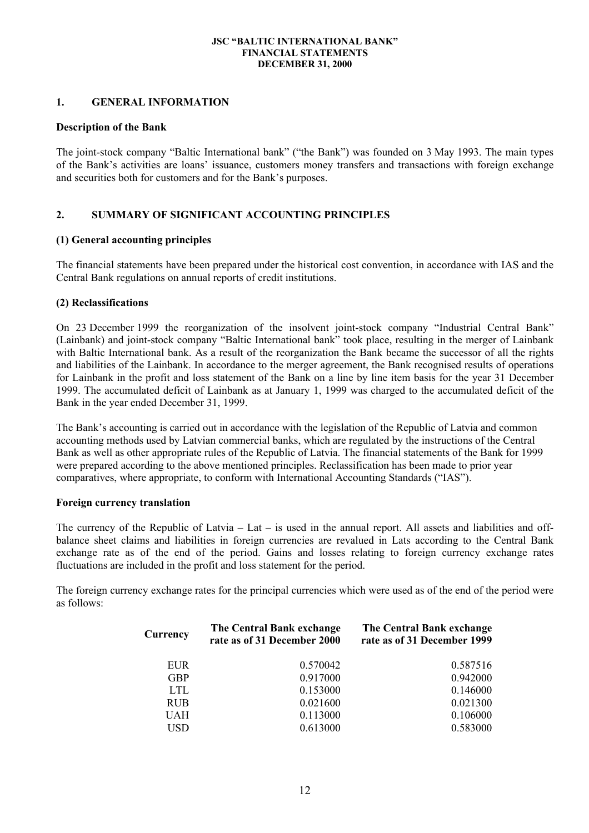### **1. GENERAL INFORMATION**

### **Description of the Bank**

The joint-stock company "Baltic International bank" ("the Bank") was founded on 3 May 1993. The main types of the Bank's activities are loans' issuance, customers money transfers and transactions with foreign exchange and securities both for customers and for the Bank's purposes.

# **2. SUMMARY OF SIGNIFICANT ACCOUNTING PRINCIPLES**

# **(1) General accounting principles**

The financial statements have been prepared under the historical cost convention, in accordance with IAS and the Central Bank regulations on annual reports of credit institutions.

# **(2) Reclassifications**

On 23 December 1999 the reorganization of the insolvent joint-stock company "Industrial Central Bank" (Lainbank) and joint-stock company "Baltic International bank" took place, resulting in the merger of Lainbank with Baltic International bank. As a result of the reorganization the Bank became the successor of all the rights and liabilities of the Lainbank. In accordance to the merger agreement, the Bank recognised results of operations for Lainbank in the profit and loss statement of the Bank on a line by line item basis for the year 31 December 1999. The accumulated deficit of Lainbank as at January 1, 1999 was charged to the accumulated deficit of the Bank in the year ended December 31, 1999.

The Bank's accounting is carried out in accordance with the legislation of the Republic of Latvia and common accounting methods used by Latvian commercial banks, which are regulated by the instructions of the Central Bank as well as other appropriate rules of the Republic of Latvia. The financial statements of the Bank for 1999 were prepared according to the above mentioned principles. Reclassification has been made to prior year comparatives, where appropriate, to conform with International Accounting Standards ("IAS").

### **Foreign currency translation**

The currency of the Republic of Latvia – Lat – is used in the annual report. All assets and liabilities and offbalance sheet claims and liabilities in foreign currencies are revalued in Lats according to the Central Bank exchange rate as of the end of the period. Gains and losses relating to foreign currency exchange rates fluctuations are included in the profit and loss statement for the period.

The foreign currency exchange rates for the principal currencies which were used as of the end of the period were as follows:

| Currency   | The Central Bank exchange<br>rate as of 31 December 2000 | The Central Bank exchange<br>rate as of 31 December 1999 |
|------------|----------------------------------------------------------|----------------------------------------------------------|
| EUR.       | 0.570042                                                 | 0.587516                                                 |
| <b>GBP</b> | 0.917000                                                 | 0.942000                                                 |
| LTL.       | 0.153000                                                 | 0.146000                                                 |
| <b>RUB</b> | 0.021600                                                 | 0.021300                                                 |
| <b>UAH</b> | 0.113000                                                 | 0.106000                                                 |
| <b>USD</b> | 0.613000                                                 | 0.583000                                                 |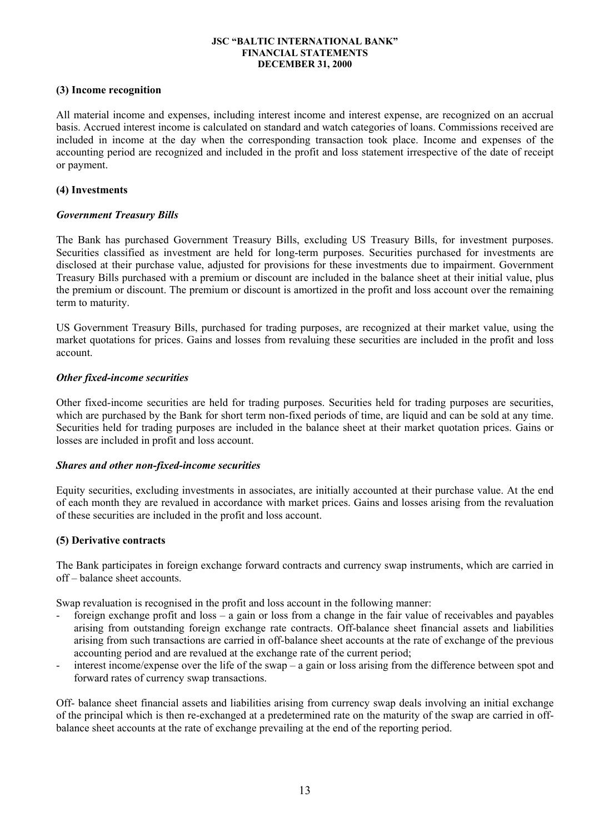# **(3) Income recognition**

All material income and expenses, including interest income and interest expense, are recognized on an accrual basis. Accrued interest income is calculated on standard and watch categories of loans. Commissions received are included in income at the day when the corresponding transaction took place. Income and expenses of the accounting period are recognized and included in the profit and loss statement irrespective of the date of receipt or payment.

# **(4) Investments**

# *Government Treasury Bills*

The Bank has purchased Government Treasury Bills, excluding US Treasury Bills, for investment purposes. Securities classified as investment are held for long-term purposes. Securities purchased for investments are disclosed at their purchase value, adjusted for provisions for these investments due to impairment. Government Treasury Bills purchased with a premium or discount are included in the balance sheet at their initial value, plus the premium or discount. The premium or discount is amortized in the profit and loss account over the remaining term to maturity.

US Government Treasury Bills, purchased for trading purposes, are recognized at their market value, using the market quotations for prices. Gains and losses from revaluing these securities are included in the profit and loss account.

### *Other fixed-income securities*

Other fixed-income securities are held for trading purposes. Securities held for trading purposes are securities, which are purchased by the Bank for short term non-fixed periods of time, are liquid and can be sold at any time. Securities held for trading purposes are included in the balance sheet at their market quotation prices. Gains or losses are included in profit and loss account.

### *Shares and other non-fixed-income securities*

Equity securities, excluding investments in associates, are initially accounted at their purchase value. At the end of each month they are revalued in accordance with market prices. Gains and losses arising from the revaluation of these securities are included in the profit and loss account.

### **(5) Derivative contracts**

The Bank participates in foreign exchange forward contracts and currency swap instruments, which are carried in off – balance sheet accounts.

Swap revaluation is recognised in the profit and loss account in the following manner:

- foreign exchange profit and loss a gain or loss from a change in the fair value of receivables and payables arising from outstanding foreign exchange rate contracts. Off-balance sheet financial assets and liabilities arising from such transactions are carried in off-balance sheet accounts at the rate of exchange of the previous accounting period and are revalued at the exchange rate of the current period;
- interest income/expense over the life of the swap a gain or loss arising from the difference between spot and forward rates of currency swap transactions.

Off- balance sheet financial assets and liabilities arising from currency swap deals involving an initial exchange of the principal which is then re-exchanged at a predetermined rate on the maturity of the swap are carried in offbalance sheet accounts at the rate of exchange prevailing at the end of the reporting period.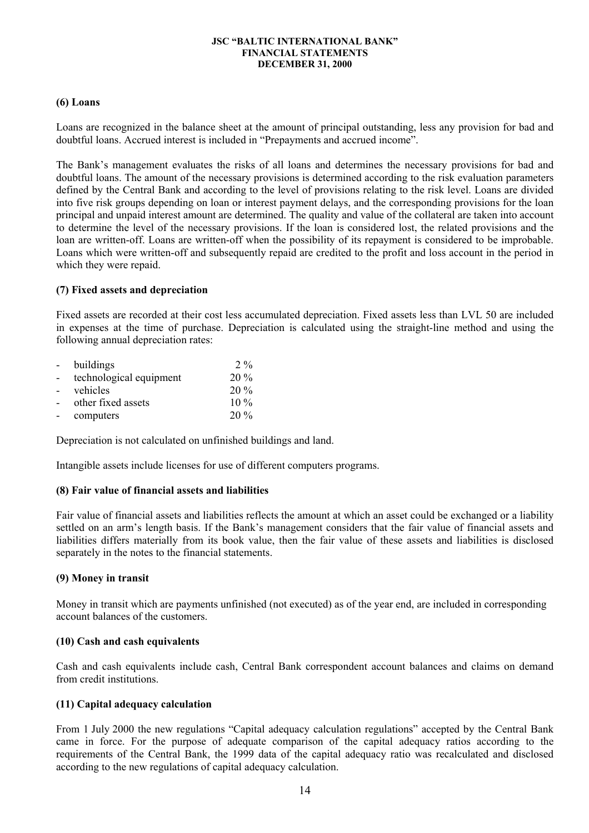### **(6) Loans**

Loans are recognized in the balance sheet at the amount of principal outstanding, less any provision for bad and doubtful loans. Accrued interest is included in "Prepayments and accrued income".

The Bank's management evaluates the risks of all loans and determines the necessary provisions for bad and doubtful loans. The amount of the necessary provisions is determined according to the risk evaluation parameters defined by the Central Bank and according to the level of provisions relating to the risk level. Loans are divided into five risk groups depending on loan or interest payment delays, and the corresponding provisions for the loan principal and unpaid interest amount are determined. The quality and value of the collateral are taken into account to determine the level of the necessary provisions. If the loan is considered lost, the related provisions and the loan are written-off. Loans are written-off when the possibility of its repayment is considered to be improbable. Loans which were written-off and subsequently repaid are credited to the profit and loss account in the period in which they were repaid.

### **(7) Fixed assets and depreciation**

Fixed assets are recorded at their cost less accumulated depreciation. Fixed assets less than LVL 50 are included in expenses at the time of purchase. Depreciation is calculated using the straight-line method and using the following annual depreciation rates:

| $\sim$   | buildings               | 2.9 <sub>o</sub> |
|----------|-------------------------|------------------|
| $\equiv$ | technological equipment | $20\%$           |
| $\sim$   | vehicles                | $20\%$           |
| $\sim$   | other fixed assets      | $10\%$           |
|          | computers               | 20%              |

Depreciation is not calculated on unfinished buildings and land.

Intangible assets include licenses for use of different computers programs.

### **(8) Fair value of financial assets and liabilities**

Fair value of financial assets and liabilities reflects the amount at which an asset could be exchanged or a liability settled on an arm's length basis. If the Bank's management considers that the fair value of financial assets and liabilities differs materially from its book value, then the fair value of these assets and liabilities is disclosed separately in the notes to the financial statements.

### **(9) Money in transit**

Money in transit which are payments unfinished (not executed) as of the year end, are included in corresponding account balances of the customers.

### **(10) Cash and cash equivalents**

Cash and cash equivalents include cash, Central Bank correspondent account balances and claims on demand from credit institutions.

### **(11) Capital adequacy calculation**

From 1 July 2000 the new regulations "Capital adequacy calculation regulations" accepted by the Central Bank came in force. For the purpose of adequate comparison of the capital adequacy ratios according to the requirements of the Central Bank, the 1999 data of the capital adequacy ratio was recalculated and disclosed according to the new regulations of capital adequacy calculation.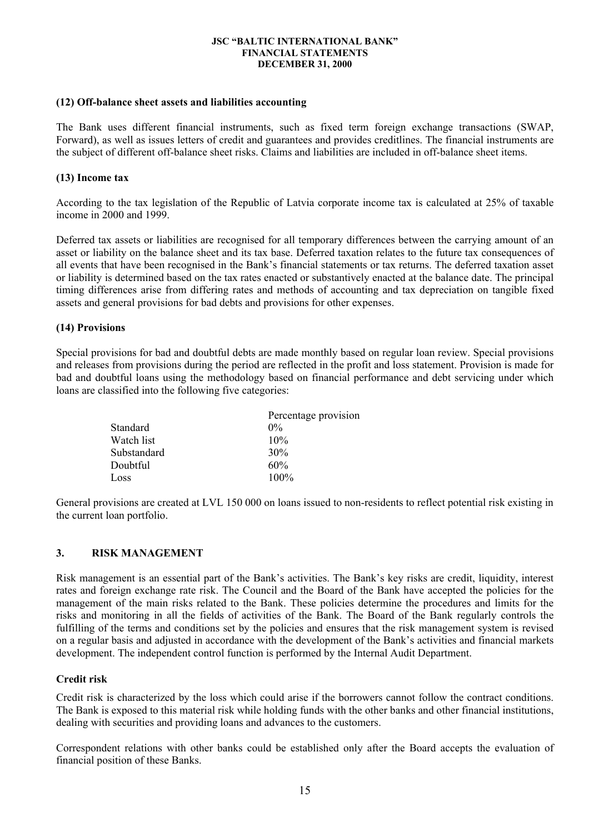#### **(12) Off-balance sheet assets and liabilities accounting**

The Bank uses different financial instruments, such as fixed term foreign exchange transactions (SWAP, Forward), as well as issues letters of credit and guarantees and provides creditlines. The financial instruments are the subject of different off-balance sheet risks. Claims and liabilities are included in off-balance sheet items.

### **(13) Income tax**

According to the tax legislation of the Republic of Latvia corporate income tax is calculated at 25% of taxable income in 2000 and 1999.

Deferred tax assets or liabilities are recognised for all temporary differences between the carrying amount of an asset or liability on the balance sheet and its tax base. Deferred taxation relates to the future tax consequences of all events that have been recognised in the Bank's financial statements or tax returns. The deferred taxation asset or liability is determined based on the tax rates enacted or substantively enacted at the balance date. The principal timing differences arise from differing rates and methods of accounting and tax depreciation on tangible fixed assets and general provisions for bad debts and provisions for other expenses.

### **(14) Provisions**

Special provisions for bad and doubtful debts are made monthly based on regular loan review. Special provisions and releases from provisions during the period are reflected in the profit and loss statement. Provision is made for bad and doubtful loans using the methodology based on financial performance and debt servicing under which loans are classified into the following five categories:

|             | Percentage provision |
|-------------|----------------------|
| Standard    | $0\%$                |
| Watch list  | 10%                  |
| Substandard | 30%                  |
| Doubtful    | 60%                  |
| Loss        | $100\%$              |

General provisions are created at LVL 150 000 on loans issued to non-residents to reflect potential risk existing in the current loan portfolio.

### **3. RISK MANAGEMENT**

Risk management is an essential part of the Bank's activities. The Bank's key risks are credit, liquidity, interest rates and foreign exchange rate risk. The Council and the Board of the Bank have accepted the policies for the management of the main risks related to the Bank. These policies determine the procedures and limits for the risks and monitoring in all the fields of activities of the Bank. The Board of the Bank regularly controls the fulfilling of the terms and conditions set by the policies and ensures that the risk management system is revised on a regular basis and adjusted in accordance with the development of the Bank's activities and financial markets development. The independent control function is performed by the Internal Audit Department.

### **Credit risk**

Credit risk is characterized by the loss which could arise if the borrowers cannot follow the contract conditions. The Bank is exposed to this material risk while holding funds with the other banks and other financial institutions, dealing with securities and providing loans and advances to the customers.

Correspondent relations with other banks could be established only after the Board accepts the evaluation of financial position of these Banks.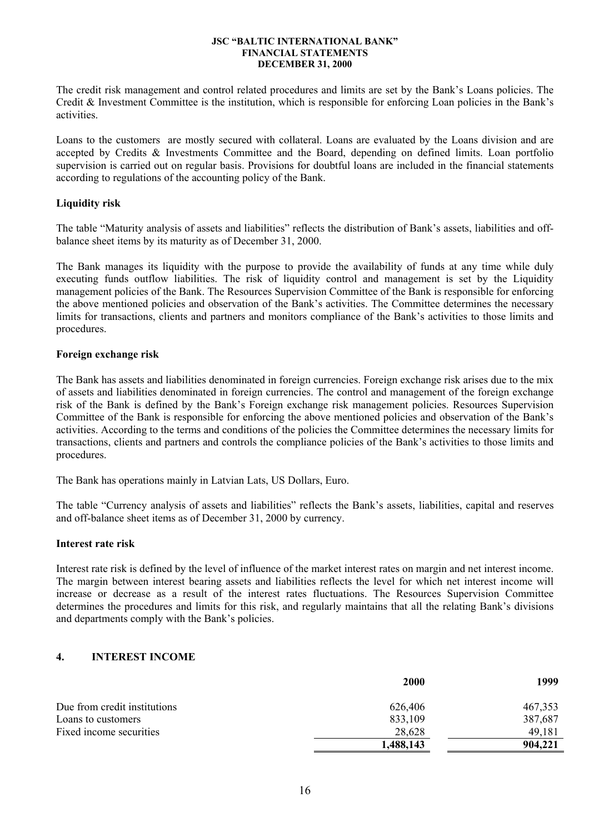The credit risk management and control related procedures and limits are set by the Bank's Loans policies. The Credit & Investment Committee is the institution, which is responsible for enforcing Loan policies in the Bank's activities.

Loans to the customers are mostly secured with collateral. Loans are evaluated by the Loans division and are accepted by Credits & Investments Committee and the Board, depending on defined limits. Loan portfolio supervision is carried out on regular basis. Provisions for doubtful loans are included in the financial statements according to regulations of the accounting policy of the Bank.

### **Liquidity risk**

The table "Maturity analysis of assets and liabilities" reflects the distribution of Bank's assets, liabilities and offbalance sheet items by its maturity as of December 31, 2000.

The Bank manages its liquidity with the purpose to provide the availability of funds at any time while duly executing funds outflow liabilities. The risk of liquidity control and management is set by the Liquidity management policies of the Bank. The Resources Supervision Committee of the Bank is responsible for enforcing the above mentioned policies and observation of the Bank's activities. The Committee determines the necessary limits for transactions, clients and partners and monitors compliance of the Bank's activities to those limits and procedures.

# **Foreign exchange risk**

The Bank has assets and liabilities denominated in foreign currencies. Foreign exchange risk arises due to the mix of assets and liabilities denominated in foreign currencies. The control and management of the foreign exchange risk of the Bank is defined by the Bank's Foreign exchange risk management policies. Resources Supervision Committee of the Bank is responsible for enforcing the above mentioned policies and observation of the Bank's activities. According to the terms and conditions of the policies the Committee determines the necessary limits for transactions, clients and partners and controls the compliance policies of the Bank's activities to those limits and procedures.

The Bank has operations mainly in Latvian Lats, US Dollars, Euro.

The table "Currency analysis of assets and liabilities" reflects the Bank's assets, liabilities, capital and reserves and off-balance sheet items as of December 31, 2000 by currency.

### **Interest rate risk**

Interest rate risk is defined by the level of influence of the market interest rates on margin and net interest income. The margin between interest bearing assets and liabilities reflects the level for which net interest income will increase or decrease as a result of the interest rates fluctuations. The Resources Supervision Committee determines the procedures and limits for this risk, and regularly maintains that all the relating Bank's divisions and departments comply with the Bank's policies.

# **4. INTEREST INCOME**

|                              | <b>2000</b> | 1999    |
|------------------------------|-------------|---------|
| Due from credit institutions | 626,406     | 467,353 |
| Loans to customers           | 833,109     | 387,687 |
| Fixed income securities      | 28,628      | 49,181  |
|                              | 1,488,143   | 904,221 |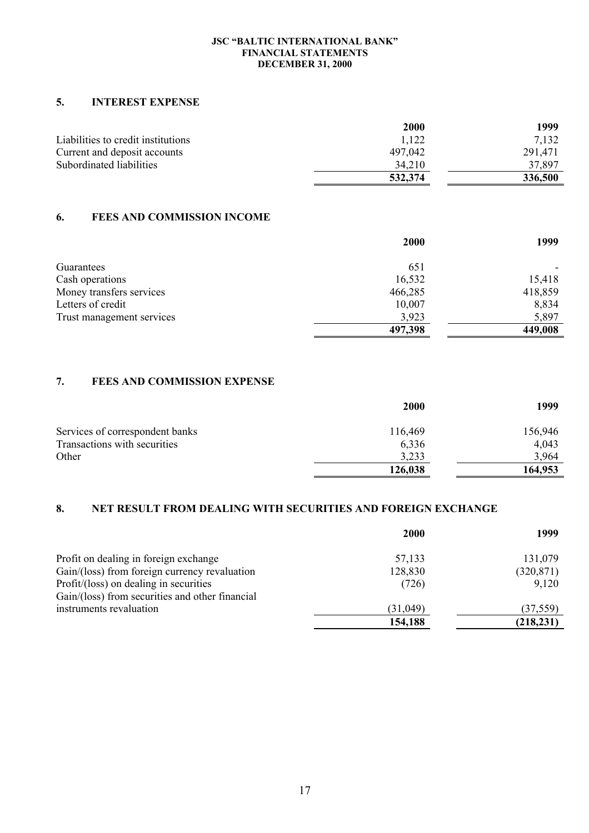# **5. INTEREST EXPENSE**

|                                    | 2000    | 1999    |
|------------------------------------|---------|---------|
| Liabilities to credit institutions | 1,122   | 7.132   |
| Current and deposit accounts       | 497,042 | 291,471 |
| Subordinated liabilities           | 34.210  | 37.897  |
|                                    | 532,374 | 336,500 |

# **6. FEES AND COMMISSION INCOME**

|                           | <b>2000</b> | 1999    |
|---------------------------|-------------|---------|
| Guarantees                | 651         |         |
| Cash operations           | 16,532      | 15,418  |
| Money transfers services  | 466,285     | 418,859 |
| Letters of credit         | 10,007      | 8,834   |
| Trust management services | 3,923       | 5,897   |
|                           | 497,398     | 449,008 |

# **7. FEES AND COMMISSION EXPENSE**

|                                 | <b>2000</b> | 1999    |
|---------------------------------|-------------|---------|
| Services of correspondent banks | 116,469     | 156,946 |
| Transactions with securities    | 6,336       | 4,043   |
| Other                           | 3,233       | 3.964   |
|                                 | 126,038     | 164,953 |

# **8. NET RESULT FROM DEALING WITH SECURITIES AND FOREIGN EXCHANGE**

|                                                  | <b>2000</b> | 1999       |
|--------------------------------------------------|-------------|------------|
| Profit on dealing in foreign exchange            | 57,133      | 131,079    |
| Gain/(loss) from foreign currency revaluation    | 128,830     | (320, 871) |
| Profit/ $(\text{loss})$ on dealing in securities | (726)       | 9,120      |
| Gain/(loss) from securities and other financial  |             |            |
| instruments revaluation                          | (31, 049)   | (37, 559)  |
|                                                  | 154,188     | (218, 231) |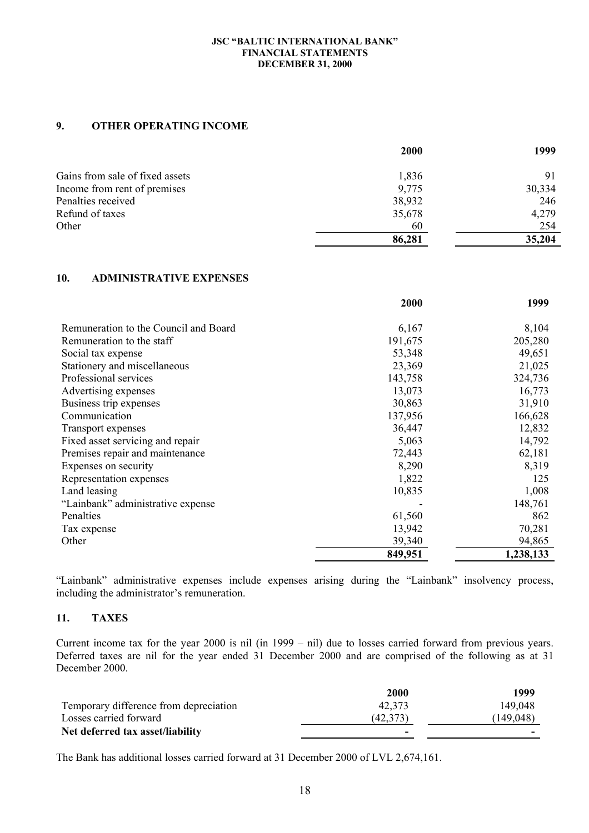# **9. OTHER OPERATING INCOME**

|                                 | 2000   | 1999   |
|---------------------------------|--------|--------|
| Gains from sale of fixed assets | 1,836  | 91     |
| Income from rent of premises    | 9,775  | 30,334 |
| Penalties received              | 38,932 | 246    |
| Refund of taxes                 | 35,678 | 4,279  |
| Other                           | 60     | 254    |
|                                 | 86,281 | 35,204 |

# **10. ADMINISTRATIVE EXPENSES**

|                                       | 2000    | 1999      |
|---------------------------------------|---------|-----------|
| Remuneration to the Council and Board | 6,167   | 8,104     |
| Remuneration to the staff             | 191,675 | 205,280   |
| Social tax expense                    | 53,348  | 49,651    |
| Stationery and miscellaneous          | 23,369  | 21,025    |
| Professional services                 | 143,758 | 324,736   |
| Advertising expenses                  | 13,073  | 16,773    |
| Business trip expenses                | 30,863  | 31,910    |
| Communication                         | 137,956 | 166,628   |
| Transport expenses                    | 36,447  | 12,832    |
| Fixed asset servicing and repair      | 5,063   | 14,792    |
| Premises repair and maintenance       | 72,443  | 62,181    |
| Expenses on security                  | 8,290   | 8,319     |
| Representation expenses               | 1,822   | 125       |
| Land leasing                          | 10,835  | 1,008     |
| "Lainbank" administrative expense     |         | 148,761   |
| Penalties                             | 61,560  | 862       |
| Tax expense                           | 13,942  | 70,281    |
| Other                                 | 39,340  | 94,865    |
|                                       | 849,951 | 1,238,133 |

"Lainbank" administrative expenses include expenses arising during the "Lainbank" insolvency process, including the administrator's remuneration.

# **11. TAXES**

Current income tax for the year 2000 is nil (in 1999 – nil) due to losses carried forward from previous years. Deferred taxes are nil for the year ended 31 December 2000 and are comprised of the following as at 31 December 2000.

|                                        | 2000                     | 1999      |
|----------------------------------------|--------------------------|-----------|
| Temporary difference from depreciation | 42.373                   | 149,048   |
| Losses carried forward                 | (42,373)                 | (149,048) |
| Net deferred tax asset/liability       | $\overline{\phantom{a}}$ | -         |

The Bank has additional losses carried forward at 31 December 2000 of LVL 2,674,161.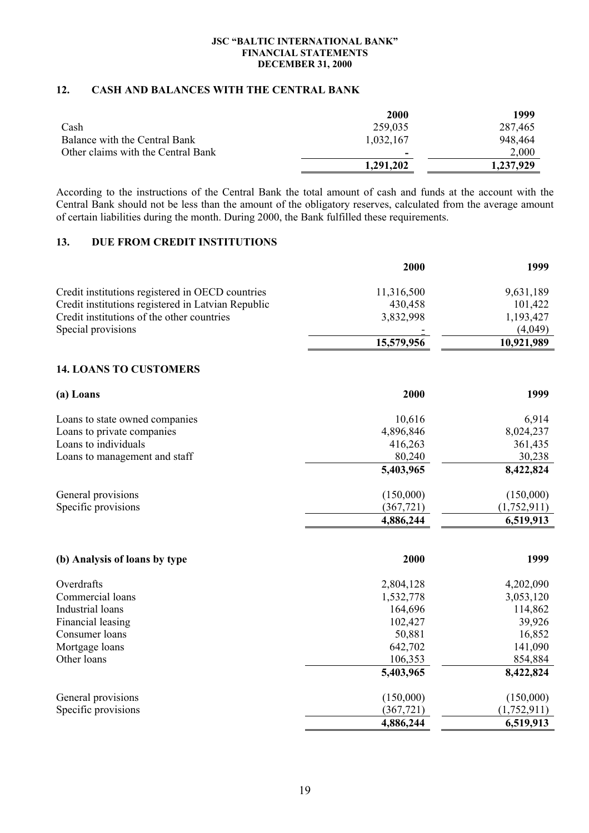# **12. CASH AND BALANCES WITH THE CENTRAL BANK**

|                                    | 2000                     | 1999      |
|------------------------------------|--------------------------|-----------|
| Cash                               | 259,035                  | 287,465   |
| Balance with the Central Bank      | 1,032,167                | 948,464   |
| Other claims with the Central Bank | $\overline{\phantom{a}}$ | 2,000     |
|                                    | 1,291,202                | 1,237,929 |

According to the instructions of the Central Bank the total amount of cash and funds at the account with the Central Bank should not be less than the amount of the obligatory reserves, calculated from the average amount of certain liabilities during the month. During 2000, the Bank fulfilled these requirements.

# **13. DUE FROM CREDIT INSTITUTIONS**

|                                                    | 2000       | 1999        |
|----------------------------------------------------|------------|-------------|
| Credit institutions registered in OECD countries   | 11,316,500 | 9,631,189   |
| Credit institutions registered in Latvian Republic | 430,458    | 101,422     |
| Credit institutions of the other countries         | 3,832,998  | 1,193,427   |
| Special provisions                                 |            | (4,049)     |
|                                                    | 15,579,956 | 10,921,989  |
| <b>14. LOANS TO CUSTOMERS</b>                      |            |             |
| (a) Loans                                          | 2000       | 1999        |
| Loans to state owned companies                     | 10,616     | 6,914       |
| Loans to private companies                         | 4,896,846  | 8,024,237   |
| Loans to individuals                               | 416,263    | 361,435     |
| Loans to management and staff                      | 80,240     | 30,238      |
|                                                    | 5,403,965  | 8,422,824   |
| General provisions                                 | (150,000)  | (150,000)   |
| Specific provisions                                | (367, 721) | (1,752,911) |
|                                                    | 4,886,244  | 6,519,913   |
| (b) Analysis of loans by type                      | 2000       | 1999        |
| Overdrafts                                         | 2,804,128  | 4,202,090   |
| Commercial loans                                   | 1,532,778  | 3,053,120   |
| Industrial loans                                   | 164,696    | 114,862     |
| Financial leasing                                  | 102,427    | 39,926      |
| Consumer loans                                     | 50,881     | 16,852      |
| Mortgage loans                                     | 642,702    | 141,090     |
| Other loans                                        | 106,353    | 854,884     |
|                                                    | 5,403,965  | 8,422,824   |
| General provisions                                 | (150,000)  | (150,000)   |
| Specific provisions                                | (367, 721) | (1,752,911) |
|                                                    | 4,886,244  | 6,519,913   |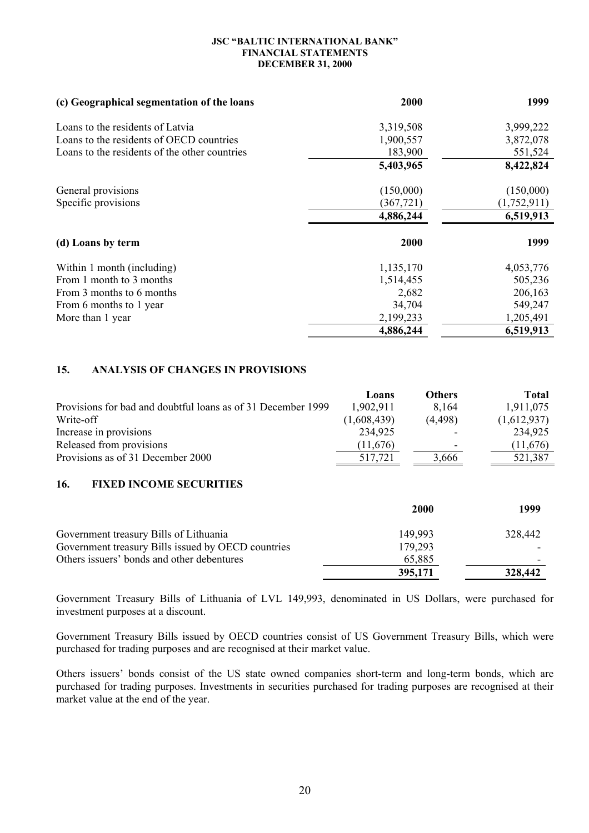| (c) Geographical segmentation of the loans    | 2000       | 1999        |
|-----------------------------------------------|------------|-------------|
| Loans to the residents of Latvia              | 3,319,508  | 3,999,222   |
| Loans to the residents of OECD countries      | 1,900,557  | 3,872,078   |
| Loans to the residents of the other countries | 183,900    | 551,524     |
|                                               | 5,403,965  | 8,422,824   |
| General provisions                            | (150,000)  | (150,000)   |
| Specific provisions                           | (367, 721) | (1,752,911) |
|                                               | 4,886,244  | 6,519,913   |
| (d) Loans by term                             | 2000       | 1999        |
| Within 1 month (including)                    | 1,135,170  | 4,053,776   |
| From 1 month to 3 months                      | 1,514,455  | 505,236     |
| From 3 months to 6 months                     | 2,682      | 206,163     |
| From 6 months to 1 year                       | 34,704     | 549,247     |
| More than 1 year                              | 2,199,233  | 1,205,491   |
|                                               | 4,886,244  | 6,519,913   |

# **15. ANALYSIS OF CHANGES IN PROVISIONS**

|                                                              | Loans       | <b>Others</b> | <b>Total</b> |
|--------------------------------------------------------------|-------------|---------------|--------------|
| Provisions for bad and doubtful loans as of 31 December 1999 | 1,902,911   | 8,164         | 1,911,075    |
| Write-off                                                    | (1,608,439) | (4, 498)      | (1,612,937)  |
| Increase in provisions                                       | 234,925     |               | 234,925      |
| Released from provisions                                     | (11.676)    | ۰             | (11,676)     |
| Provisions as of 31 December 2000                            | 517.721     | 3.666         | 521,387      |

# **16. FIXED INCOME SECURITIES**

|                                                    | <b>2000</b> | 1999    |
|----------------------------------------------------|-------------|---------|
| Government treasury Bills of Lithuania             | 149,993     | 328,442 |
| Government treasury Bills issued by OECD countries | 179,293     |         |
| Others issuers' bonds and other debentures         | 65,885      | -       |
|                                                    | 395,171     | 328,442 |

Government Treasury Bills of Lithuania of LVL 149,993, denominated in US Dollars, were purchased for investment purposes at a discount.

Government Treasury Bills issued by OECD countries consist of US Government Treasury Bills, which were purchased for trading purposes and are recognised at their market value.

Others issuers' bonds consist of the US state owned companies short-term and long-term bonds, which are purchased for trading purposes. Investments in securities purchased for trading purposes are recognised at their market value at the end of the year.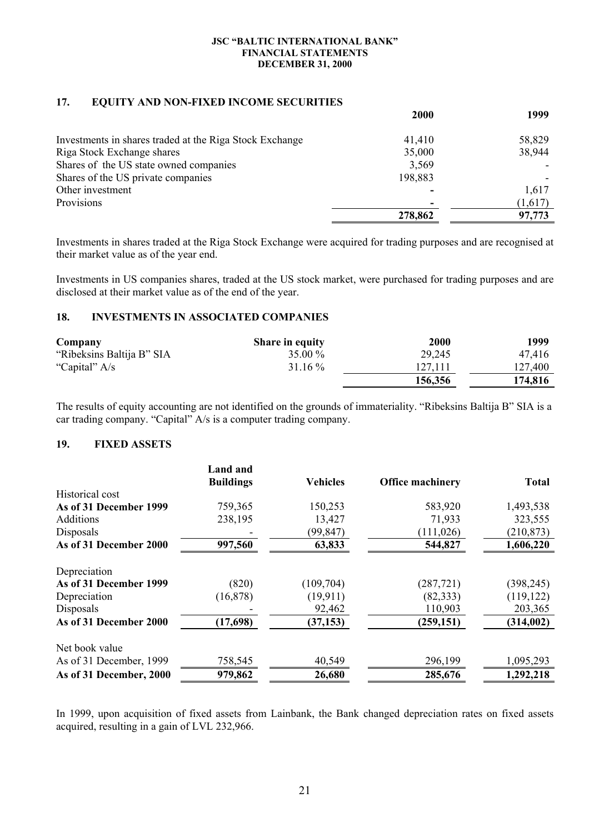# **17. EQUITY AND NON-FIXED INCOME SECURITIES**

|                                                         | 2000    | 1999    |
|---------------------------------------------------------|---------|---------|
| Investments in shares traded at the Riga Stock Exchange | 41,410  | 58,829  |
| Riga Stock Exchange shares                              | 35,000  | 38,944  |
| Shares of the US state owned companies                  | 3,569   |         |
| Shares of the US private companies                      | 198,883 |         |
| Other investment                                        |         | 1,617   |
| Provisions                                              |         | (1,617) |
|                                                         | 278,862 | 97,773  |

Investments in shares traded at the Riga Stock Exchange were acquired for trading purposes and are recognised at their market value as of the year end.

Investments in US companies shares, traded at the US stock market, were purchased for trading purposes and are disclosed at their market value as of the end of the year.

# **18. INVESTMENTS IN ASSOCIATED COMPANIES**

| Company                   | <b>Share in equity</b> | <b>2000</b> | 1999    |
|---------------------------|------------------------|-------------|---------|
| "Ribeksins Baltija B" SIA | 35.00 %                | 29,245      | 47.416  |
| "Capital" A/s             | $31.16\%$              | 127,111     | 127,400 |
|                           |                        | 156,356     | 174.816 |

The results of equity accounting are not identified on the grounds of immateriality. "Ribeksins Baltija B" SIA is a car trading company. "Capital" A/s is a computer trading company.

# **19. FIXED ASSETS**

|                         | <b>Land and</b>  |                 |                         |              |
|-------------------------|------------------|-----------------|-------------------------|--------------|
|                         | <b>Buildings</b> | <b>Vehicles</b> | <b>Office machinery</b> | <b>Total</b> |
| Historical cost         |                  |                 |                         |              |
| As of 31 December 1999  | 759,365          | 150,253         | 583,920                 | 1,493,538    |
| <b>Additions</b>        | 238,195          | 13,427          | 71,933                  | 323,555      |
| Disposals               |                  | (99, 847)       | (111, 026)              | (210, 873)   |
| As of 31 December 2000  | 997,560          | 63,833          | 544,827                 | 1,606,220    |
| Depreciation            |                  |                 |                         |              |
| As of 31 December 1999  | (820)            | (109, 704)      | (287, 721)              | (398, 245)   |
| Depreciation            | (16, 878)        | (19,911)        | (82, 333)               | (119, 122)   |
| Disposals               |                  | 92,462          | 110,903                 | 203,365      |
| As of 31 December 2000  | (17,698)         | (37, 153)       | (259, 151)              | (314,002)    |
| Net book value          |                  |                 |                         |              |
| As of 31 December, 1999 | 758,545          | 40,549          | 296,199                 | 1,095,293    |
| As of 31 December, 2000 | 979,862          | 26,680          | 285,676                 | 1,292,218    |

In 1999, upon acquisition of fixed assets from Lainbank, the Bank changed depreciation rates on fixed assets acquired, resulting in a gain of LVL 232,966.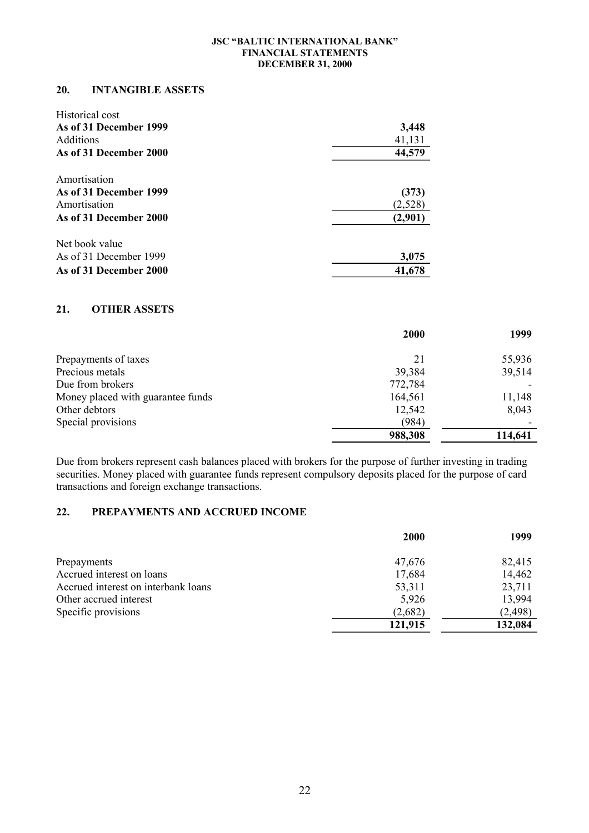### **20. INTANGIBLE ASSETS**

| Historical cost        |         |
|------------------------|---------|
| As of 31 December 1999 | 3,448   |
| <b>Additions</b>       | 41,131  |
| As of 31 December 2000 | 44,579  |
| Amortisation           |         |
| As of 31 December 1999 | (373)   |
| Amortisation           | (2,528) |
| As of 31 December 2000 | (2,901) |
| Net book value         |         |
| As of 31 December 1999 | 3,075   |
| As of 31 December 2000 | 41,678  |

# **21. OTHER ASSETS**

|                                   | <b>2000</b> | 1999    |
|-----------------------------------|-------------|---------|
| Prepayments of taxes              | 21          | 55,936  |
| Precious metals                   | 39,384      | 39,514  |
| Due from brokers                  | 772,784     |         |
| Money placed with guarantee funds | 164,561     | 11,148  |
| Other debtors                     | 12,542      | 8,043   |
| Special provisions                | (984)       |         |
|                                   | 988,308     | 114,641 |

Due from brokers represent cash balances placed with brokers for the purpose of further investing in trading securities. Money placed with guarantee funds represent compulsory deposits placed for the purpose of card transactions and foreign exchange transactions.

# **22. PREPAYMENTS AND ACCRUED INCOME**

|                                     | <b>2000</b> | 1999     |
|-------------------------------------|-------------|----------|
| Prepayments                         | 47,676      | 82,415   |
| Accrued interest on loans           | 17,684      | 14,462   |
| Accrued interest on interbank loans | 53,311      | 23,711   |
| Other accrued interest              | 5,926       | 13,994   |
| Specific provisions                 | (2,682)     | (2, 498) |
|                                     | 121,915     | 132,084  |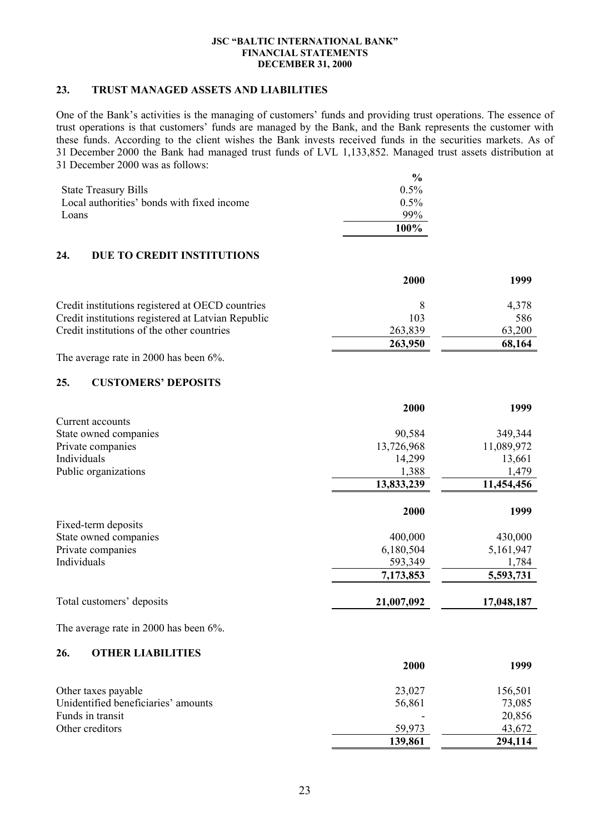### **23. TRUST MANAGED ASSETS AND LIABILITIES**

One of the Bank's activities is the managing of customers' funds and providing trust operations. The essence of trust operations is that customers' funds are managed by the Bank, and the Bank represents the customer with these funds. According to the client wishes the Bank invests received funds in the securities markets. As of 31 December 2000 the Bank had managed trust funds of LVL 1,133,852. Managed trust assets distribution at 31 December 2000 was as follows:

|                                            | $\frac{0}{\alpha}$ |
|--------------------------------------------|--------------------|
| <b>State Treasury Bills</b>                | $0.5\%$            |
| Local authorities' bonds with fixed income | $0.5\%$            |
| Loans                                      | $99\%$             |
|                                            | $100\%$            |

# **24. DUE TO CREDIT INSTITUTIONS**

|                                                    | 2000    | 1999   |
|----------------------------------------------------|---------|--------|
| Credit institutions registered at OECD countries   |         | 4.378  |
| Credit institutions registered at Latvian Republic | 103     | 586    |
| Credit institutions of the other countries         | 263,839 | 63,200 |
|                                                    | 263,950 | 68,164 |

The average rate in 2000 has been 6%.

# **25. CUSTOMERS' DEPOSITS**

| 90,584     | 349,344    |
|------------|------------|
| 13,726,968 | 11,089,972 |
| 14,299     | 13,661     |
| 1,388      | 1,479      |
| 13,833,239 | 11,454,456 |
|            | 1999       |
|            |            |
| 400,000    | 430,000    |
| 6,180,504  | 5,161,947  |
| 593,349    | 1,784      |
| 7,173,853  | 5,593,731  |
| 21,007,092 | 17,048,187 |
|            | 2000       |

The average rate in 2000 has been 6%.

# **26. OTHER LIABILITIES**

|                                     | <b>2000</b> | 1999    |
|-------------------------------------|-------------|---------|
| Other taxes payable                 | 23,027      | 156,501 |
| Unidentified beneficiaries' amounts | 56,861      | 73,085  |
| Funds in transit                    |             | 20,856  |
| Other creditors                     | 59,973      | 43,672  |
|                                     | 139,861     | 294,114 |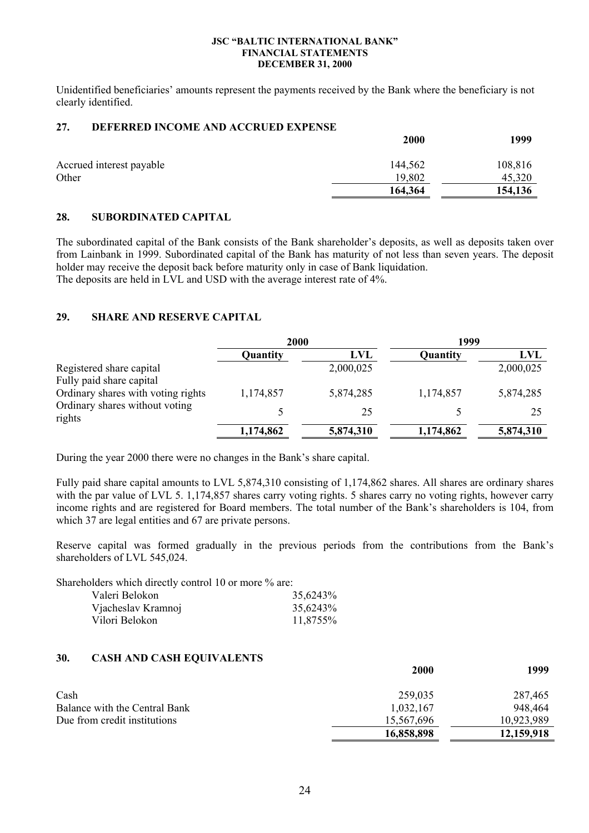Unidentified beneficiaries' amounts represent the payments received by the Bank where the beneficiary is not clearly identified.

# **27. DEFERRED INCOME AND ACCRUED EXPENSE**

|                          | 2000    | 1999    |
|--------------------------|---------|---------|
| Accrued interest payable | 144,562 | 108,816 |
| Other                    | 19,802  | 45,320  |
|                          | 164,364 | 154,136 |

# **28. SUBORDINATED CAPITAL**

The subordinated capital of the Bank consists of the Bank shareholder's deposits, as well as deposits taken over from Lainbank in 1999. Subordinated capital of the Bank has maturity of not less than seven years. The deposit holder may receive the deposit back before maturity only in case of Bank liquidation. The deposits are held in LVL and USD with the average interest rate of 4%.

# **29. SHARE AND RESERVE CAPITAL**

|                                                      | 2000      |           | 1999      |            |
|------------------------------------------------------|-----------|-----------|-----------|------------|
|                                                      | Quantity  | LVL       | Quantity  | <b>LVL</b> |
| Registered share capital<br>Fully paid share capital |           | 2,000,025 |           | 2,000,025  |
| Ordinary shares with voting rights                   | 1,174,857 | 5,874,285 | 1,174,857 | 5,874,285  |
| Ordinary shares without voting<br>rights             |           | 25        |           | 25         |
|                                                      | 1,174,862 | 5,874,310 | 1,174,862 | 5,874,310  |

During the year 2000 there were no changes in the Bank's share capital.

Fully paid share capital amounts to LVL 5,874,310 consisting of 1,174,862 shares. All shares are ordinary shares with the par value of LVL 5. 1,174,857 shares carry voting rights. 5 shares carry no voting rights, however carry income rights and are registered for Board members. The total number of the Bank's shareholders is 104, from which 37 are legal entities and 67 are private persons.

Reserve capital was formed gradually in the previous periods from the contributions from the Bank's shareholders of LVL 545,024.

Shareholders which directly control 10 or more % are:

| Valeri Belokon     | 35,6243% |
|--------------------|----------|
| Vjacheslav Kramnoj | 35,6243% |
| Vilori Belokon     | 11,8755% |

### **30. CASH AND CASH EQUIVALENTS**

|                               | 2000       | 1999       |
|-------------------------------|------------|------------|
| Cash                          | 259,035    | 287,465    |
| Balance with the Central Bank | 1,032,167  | 948,464    |
| Due from credit institutions  | 15,567,696 | 10,923,989 |
|                               | 16,858,898 | 12,159,918 |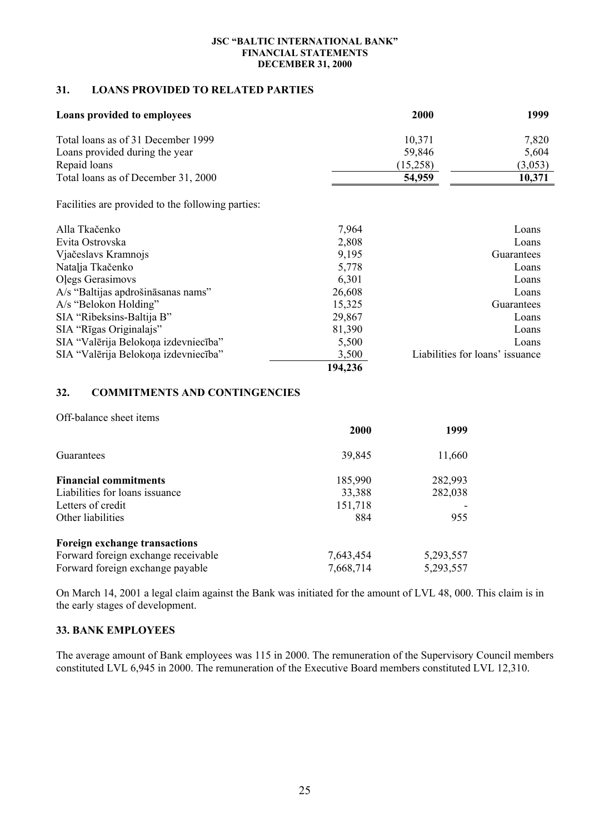# **31. LOANS PROVIDED TO RELATED PARTIES**

| Loans provided to employees                       |         | 2000     | 1999                            |
|---------------------------------------------------|---------|----------|---------------------------------|
| Total loans as of 31 December 1999                |         | 10,371   | 7,820                           |
| Loans provided during the year                    |         | 59,846   | 5,604                           |
| Repaid loans                                      |         | (15,258) | (3,053)                         |
| Total loans as of December 31, 2000               |         | 54,959   | 10,371                          |
| Facilities are provided to the following parties: |         |          |                                 |
| Alla Tkačenko                                     | 7,964   |          | Loans                           |
| Evita Ostrovska                                   | 2,808   |          | Loans                           |
| Vjačeslavs Kramnojs                               | 9,195   |          | Guarantees                      |
| Natalja Tkačenko                                  | 5,778   |          | Loans                           |
| Olegs Gerasimovs                                  | 6,301   |          | Loans                           |
| A/s "Baltijas apdrošināsanas nams"                | 26,608  |          | Loans                           |
| A/s "Belokon Holding"                             | 15,325  |          | Guarantees                      |
| SIA "Ribeksins-Baltija B"                         | 29,867  |          | Loans                           |
| SIA "Rīgas Originalajs"                           | 81,390  |          | Loans                           |
| SIA "Valērija Belokoņa izdevniecība"              | 5,500   |          | Loans                           |
| SIA "Valērija Belokoņa izdevniecība"              | 3,500   |          | Liabilities for loans' issuance |
|                                                   | 194,236 |          |                                 |

# **32. COMMITMENTS AND CONTINGENCIES**

Off-balance sheet items

|                                     | <b>2000</b> | 1999      |
|-------------------------------------|-------------|-----------|
| Guarantees                          | 39,845      | 11,660    |
| <b>Financial commitments</b>        | 185,990     | 282,993   |
| Liabilities for loans issuance      | 33,388      | 282,038   |
| Letters of credit                   | 151,718     |           |
| Other liabilities                   | 884         | 955       |
| Foreign exchange transactions       |             |           |
| Forward foreign exchange receivable | 7,643,454   | 5,293,557 |
| Forward foreign exchange payable    | 7,668,714   | 5,293,557 |

On March 14, 2001 a legal claim against the Bank was initiated for the amount of LVL 48, 000. This claim is in the early stages of development.

### **33. BANK EMPLOYEES**

The average amount of Bank employees was 115 in 2000. The remuneration of the Supervisory Council members constituted LVL 6,945 in 2000. The remuneration of the Executive Board members constituted LVL 12,310.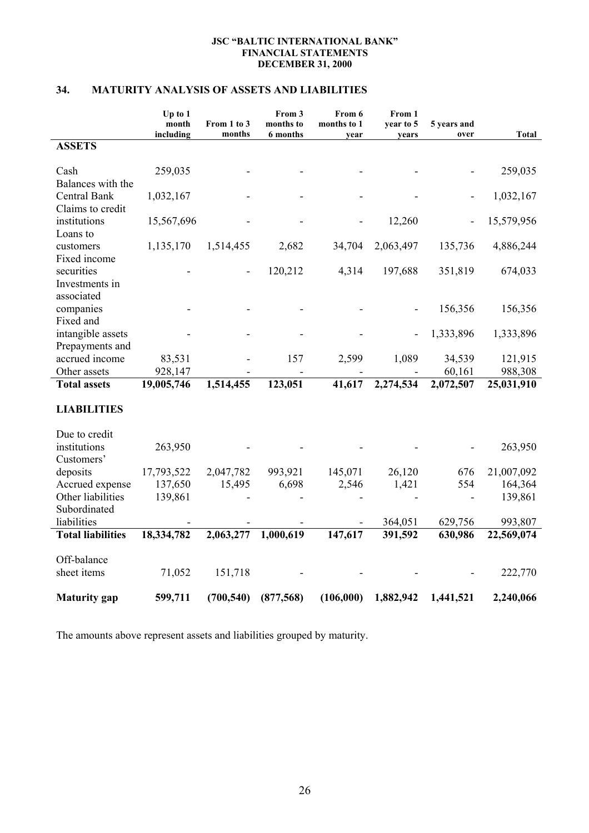# **34. MATURITY ANALYSIS OF ASSETS AND LIABILITIES**

|                                                   | Up to 1<br>month | From 1 to 3 | From 3<br>months to | From 6<br>months to 1 | From 1<br>year to 5 | 5 years and |              |
|---------------------------------------------------|------------------|-------------|---------------------|-----------------------|---------------------|-------------|--------------|
|                                                   | including        | months      | 6 months            | year                  | years               | over        | <b>Total</b> |
| <b>ASSETS</b>                                     |                  |             |                     |                       |                     |             |              |
| Cash<br>Balances with the                         | 259,035          |             |                     |                       |                     |             | 259,035      |
| Central Bank<br>Claims to credit                  | 1,032,167        |             |                     |                       |                     |             | 1,032,167    |
| institutions<br>Loans to                          | 15,567,696       |             |                     |                       | 12,260              |             | 15,579,956   |
| customers<br>Fixed income                         | 1,135,170        | 1,514,455   | 2,682               | 34,704                | 2,063,497           | 135,736     | 4,886,244    |
| securities<br>Investments in                      |                  |             | 120,212             | 4,314                 | 197,688             | 351,819     | 674,033      |
| associated<br>companies                           |                  |             |                     |                       |                     | 156,356     | 156,356      |
| Fixed and<br>intangible assets<br>Prepayments and |                  |             |                     |                       |                     | 1,333,896   | 1,333,896    |
| accrued income                                    | 83,531           |             | 157                 | 2,599                 | 1,089               | 34,539      | 121,915      |
| Other assets<br><b>Total assets</b>               | 928,147          | 1,514,455   |                     | 41,617                | 2,274,534           | 60,161      | 988,308      |
|                                                   | 19,005,746       |             | 123,051             |                       |                     | 2,072,507   | 25,031,910   |
| <b>LIABILITIES</b>                                |                  |             |                     |                       |                     |             |              |
| Due to credit                                     |                  |             |                     |                       |                     |             |              |
| institutions<br>Customers'                        | 263,950          |             |                     |                       |                     |             | 263,950      |
| deposits                                          | 17,793,522       | 2,047,782   | 993,921             | 145,071               | 26,120              | 676         | 21,007,092   |
| Accrued expense                                   | 137,650          | 15,495      | 6,698               | 2,546                 | 1,421               | 554         | 164,364      |
| Other liabilities<br>Subordinated                 | 139,861          |             |                     |                       |                     |             | 139,861      |
| liabilities                                       |                  |             |                     |                       | 364,051             | 629,756     | 993,807      |
| <b>Total liabilities</b>                          | 18,334,782       | 2,063,277   | 1,000,619           | 147,617               | 391,592             | 630,986     | 22,569,074   |
|                                                   |                  |             |                     |                       |                     |             |              |
| Off-balance                                       |                  |             |                     |                       |                     |             |              |
| sheet items                                       | 71,052           | 151,718     |                     |                       |                     |             | 222,770      |
| <b>Maturity</b> gap                               | 599,711          | (700, 540)  | (877,568)           | (106,000)             | 1,882,942           | 1,441,521   | 2,240,066    |

The amounts above represent assets and liabilities grouped by maturity.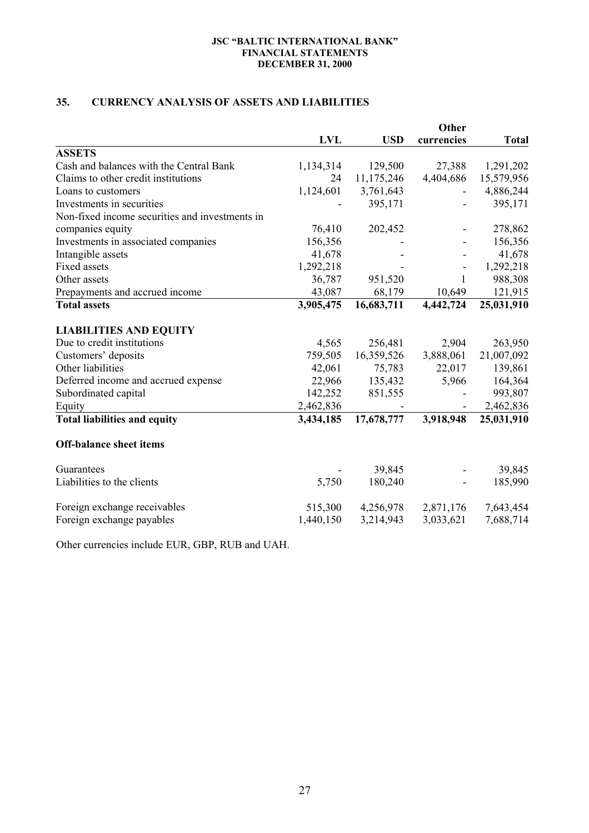# **35. CURRENCY ANALYSIS OF ASSETS AND LIABILITIES**

|                                                | <b>LVL</b> | <b>USD</b> | currencies   | <b>Total</b> |
|------------------------------------------------|------------|------------|--------------|--------------|
| <b>ASSETS</b>                                  |            |            |              |              |
| Cash and balances with the Central Bank        | 1,134,314  | 129,500    | 27,388       | 1,291,202    |
| Claims to other credit institutions            | 24         | 11,175,246 | 4,404,686    | 15,579,956   |
| Loans to customers                             | 1,124,601  | 3,761,643  |              | 4,886,244    |
| Investments in securities                      |            | 395,171    |              | 395,171      |
| Non-fixed income securities and investments in |            |            |              |              |
| companies equity                               | 76,410     | 202,452    |              | 278,862      |
| Investments in associated companies            | 156,356    |            |              | 156,356      |
| Intangible assets                              | 41,678     |            |              | 41,678       |
| <b>Fixed assets</b>                            | 1,292,218  |            |              | 1,292,218    |
| Other assets                                   | 36,787     | 951,520    | $\mathbf{1}$ | 988,308      |
| Prepayments and accrued income                 | 43,087     | 68,179     | 10,649       | 121,915      |
| <b>Total assets</b>                            | 3,905,475  | 16,683,711 | 4,442,724    | 25,031,910   |
| <b>LIABILITIES AND EQUITY</b>                  |            |            |              |              |
| Due to credit institutions                     | 4,565      | 256,481    | 2,904        | 263,950      |
| Customers' deposits                            | 759,505    | 16,359,526 | 3,888,061    | 21,007,092   |
| Other liabilities                              | 42,061     | 75,783     | 22,017       | 139,861      |
| Deferred income and accrued expense            | 22,966     | 135,432    | 5,966        | 164,364      |
| Subordinated capital                           | 142,252    | 851,555    |              | 993,807      |
| Equity                                         | 2,462,836  |            |              | 2,462,836    |
| <b>Total liabilities and equity</b>            | 3,434,185  | 17,678,777 | 3,918,948    | 25,031,910   |
| <b>Off-balance sheet items</b>                 |            |            |              |              |
| Guarantees                                     |            | 39,845     |              | 39,845       |
| Liabilities to the clients                     | 5,750      | 180,240    |              | 185,990      |
| Foreign exchange receivables                   | 515,300    | 4,256,978  | 2,871,176    | 7,643,454    |
| Foreign exchange payables                      | 1,440,150  | 3,214,943  | 3,033,621    | 7,688,714    |

Other currencies include EUR, GBP, RUB and UAH.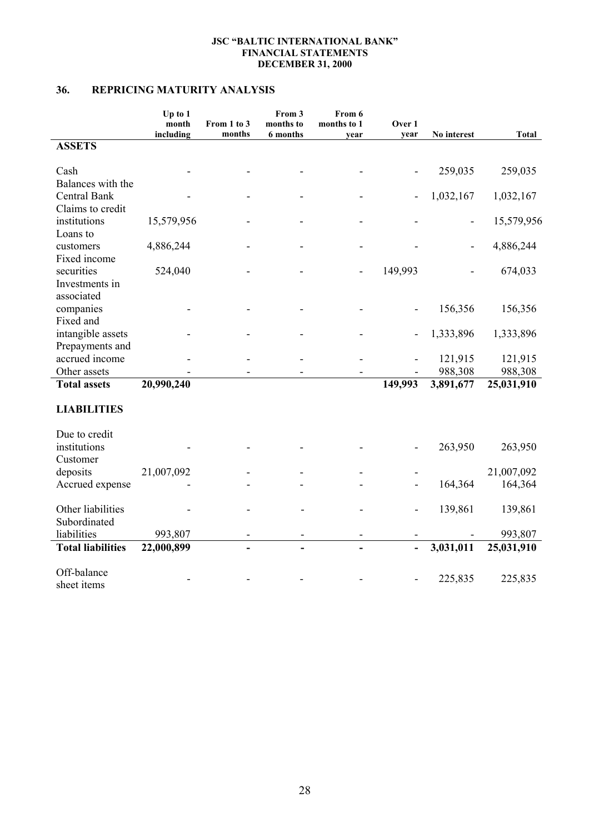# **36. REPRICING MATURITY ANALYSIS**

|                                   | Up to 1<br>month<br>including | From 1 to 3<br>months | From 3<br>months to<br>6 months | From 6<br>months to 1<br>year | Over 1<br>year               | No interest | <b>Total</b> |
|-----------------------------------|-------------------------------|-----------------------|---------------------------------|-------------------------------|------------------------------|-------------|--------------|
| <b>ASSETS</b>                     |                               |                       |                                 |                               |                              |             |              |
| Cash                              |                               |                       |                                 |                               |                              | 259,035     | 259,035      |
| Balances with the                 |                               |                       |                                 |                               |                              |             |              |
| Central Bank                      |                               |                       |                                 |                               |                              | 1,032,167   | 1,032,167    |
| Claims to credit                  |                               |                       |                                 |                               |                              |             |              |
| institutions                      | 15,579,956                    |                       |                                 |                               |                              |             | 15,579,956   |
| Loans to                          |                               |                       |                                 |                               |                              |             |              |
| customers                         | 4,886,244                     |                       |                                 |                               |                              |             | 4,886,244    |
| Fixed income                      |                               |                       |                                 |                               |                              |             |              |
| securities                        | 524,040                       |                       |                                 |                               | 149,993                      |             | 674,033      |
| Investments in                    |                               |                       |                                 |                               |                              |             |              |
| associated                        |                               |                       |                                 |                               |                              |             |              |
| companies                         |                               |                       |                                 |                               |                              | 156,356     | 156,356      |
| Fixed and                         |                               |                       |                                 |                               |                              |             |              |
| intangible assets                 |                               |                       |                                 |                               |                              | 1,333,896   | 1,333,896    |
| Prepayments and                   |                               |                       |                                 |                               |                              |             |              |
| accrued income                    |                               |                       |                                 |                               |                              | 121,915     | 121,915      |
| Other assets                      |                               |                       |                                 |                               |                              | 988,308     | 988,308      |
| <b>Total assets</b>               | 20,990,240                    |                       |                                 |                               | 149,993                      | 3,891,677   | 25,031,910   |
|                                   |                               |                       |                                 |                               |                              |             |              |
| <b>LIABILITIES</b>                |                               |                       |                                 |                               |                              |             |              |
| Due to credit                     |                               |                       |                                 |                               |                              |             |              |
| institutions                      |                               |                       |                                 |                               |                              | 263,950     | 263,950      |
| Customer                          |                               |                       |                                 |                               |                              |             |              |
| deposits                          | 21,007,092                    |                       |                                 |                               |                              |             | 21,007,092   |
| Accrued expense                   |                               |                       |                                 |                               |                              | 164,364     | 164,364      |
|                                   |                               |                       |                                 |                               |                              |             |              |
| Other liabilities<br>Subordinated |                               |                       |                                 |                               | $\qquad \qquad \blacksquare$ | 139,861     | 139,861      |
| liabilities                       | 993,807                       |                       |                                 |                               |                              |             | 993,807      |
| <b>Total liabilities</b>          | 22,000,899                    |                       |                                 |                               | $\overline{a}$               | 3,031,011   | 25,031,910   |
|                                   |                               |                       |                                 |                               |                              |             |              |
| Off-balance                       |                               |                       |                                 |                               |                              |             |              |
| sheet items                       |                               |                       |                                 |                               |                              | 225,835     | 225,835      |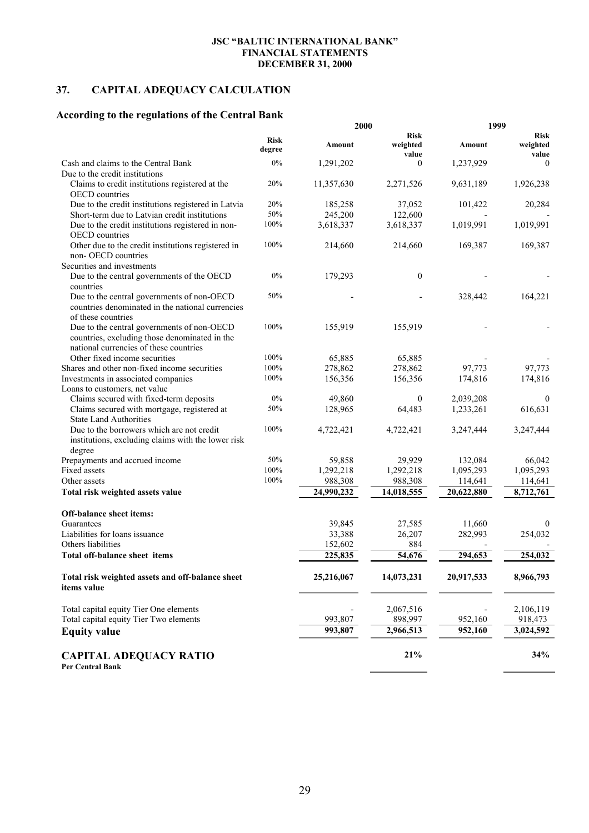# **37. CAPITAL ADEQUACY CALCULATION**

# **According to the regulations of the Central Bank**

|                                                                                                                                       |                       | 2000       |                                  | 1999       |                                  |  |
|---------------------------------------------------------------------------------------------------------------------------------------|-----------------------|------------|----------------------------------|------------|----------------------------------|--|
|                                                                                                                                       | <b>Risk</b><br>degree | Amount     | <b>Risk</b><br>weighted<br>value | Amount     | <b>Risk</b><br>weighted<br>value |  |
| Cash and claims to the Central Bank                                                                                                   | 0%                    | 1,291,202  | $\mathbf{0}$                     | 1,237,929  | $\theta$                         |  |
| Due to the credit institutions                                                                                                        |                       |            |                                  |            |                                  |  |
| Claims to credit institutions registered at the<br><b>OECD</b> countries                                                              | 20%                   | 11,357,630 | 2,271,526                        | 9,631,189  | 1,926,238                        |  |
| Due to the credit institutions registered in Latvia                                                                                   | 20%                   | 185,258    | 37,052                           | 101,422    | 20,284                           |  |
| Short-term due to Latvian credit institutions                                                                                         | 50%                   | 245,200    | 122,600                          |            |                                  |  |
| Due to the credit institutions registered in non-<br>OECD countries                                                                   | 100%                  | 3,618,337  | 3,618,337                        | 1,019,991  | 1,019,991                        |  |
| Other due to the credit institutions registered in<br>non-OECD countries                                                              | 100%                  | 214,660    | 214,660                          | 169,387    | 169,387                          |  |
| Securities and investments                                                                                                            |                       |            |                                  |            |                                  |  |
| Due to the central governments of the OECD<br>countries                                                                               | $0\%$                 | 179,293    | $\theta$                         |            |                                  |  |
| Due to the central governments of non-OECD<br>countries denominated in the national currencies<br>of these countries                  | 50%                   |            |                                  | 328,442    | 164,221                          |  |
| Due to the central governments of non-OECD<br>countries, excluding those denominated in the<br>national currencies of these countries | 100%                  | 155,919    | 155,919                          |            |                                  |  |
| Other fixed income securities                                                                                                         | 100%                  | 65,885     | 65,885                           |            |                                  |  |
| Shares and other non-fixed income securities                                                                                          | 100%                  | 278,862    | 278,862                          | 97,773     | 97,773                           |  |
| Investments in associated companies                                                                                                   | 100%                  | 156,356    | 156,356                          | 174,816    | 174,816                          |  |
| Loans to customers, net value                                                                                                         | 0%                    |            |                                  |            |                                  |  |
| Claims secured with fixed-term deposits                                                                                               |                       | 49,860     | $\boldsymbol{0}$                 | 2,039,208  | $\theta$                         |  |
| Claims secured with mortgage, registered at<br><b>State Land Authorities</b>                                                          | 50%                   | 128,965    | 64,483                           | 1,233,261  | 616,631                          |  |
| Due to the borrowers which are not credit<br>institutions, excluding claims with the lower risk<br>degree                             | 100%                  | 4,722,421  | 4,722,421                        | 3,247,444  | 3,247,444                        |  |
| Prepayments and accrued income                                                                                                        | 50%                   | 59,858     | 29,929                           | 132,084    | 66,042                           |  |
| Fixed assets                                                                                                                          | 100%                  | 1,292,218  | 1,292,218                        | 1,095,293  | 1,095,293                        |  |
| Other assets                                                                                                                          | 100%                  | 988,308    | 988,308                          | 114,641    | 114,641                          |  |
| Total risk weighted assets value                                                                                                      |                       | 24,990,232 | 14,018,555                       | 20,622,880 | 8,712,761                        |  |
| <b>Off-balance sheet items:</b>                                                                                                       |                       |            |                                  |            |                                  |  |
| Guarantees                                                                                                                            |                       | 39,845     | 27,585                           | 11,660     | $\theta$                         |  |
| Liabilities for loans issuance                                                                                                        |                       | 33,388     | 26,207                           | 282,993    | 254,032                          |  |
| Others liabilities                                                                                                                    |                       | 152,602    | 884                              |            |                                  |  |
| Total off-balance sheet items                                                                                                         |                       | 225,835    | 54,676                           | 294,653    | 254,032                          |  |
| Total risk weighted assets and off-balance sheet<br>items value                                                                       |                       | 25,216,067 | 14,073,231                       | 20,917,533 | 8,966,793                        |  |
| Total capital equity Tier One elements                                                                                                |                       |            | 2,067,516                        |            | 2,106,119                        |  |
| Total capital equity Tier Two elements                                                                                                |                       | 993,807    | 898,997                          | 952,160    | 918,473                          |  |
| <b>Equity value</b>                                                                                                                   |                       | 993,807    | 2,966,513                        | 952,160    | 3,024,592                        |  |
| <b>CAPITAL ADEQUACY RATIO</b><br>Per Central Bank                                                                                     |                       |            | 21%                              |            | 34%                              |  |